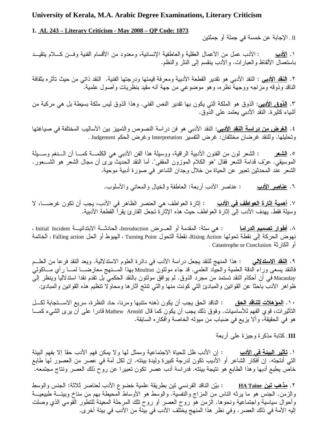## **University of Kerala, M.A. Arabic Degree Examinations, Literary Criticism**

## **1. AL 243 – Literary Criticism - May 2008 – QP Code: 1873**

II . الإجابة عن خمسة في جملة أو جملتين

<u>دب</u> الأدب عمل من الأعمال العقلية و العاطفية الإنسانية، ومعدود من الأقسام الفنية وفـــن كـــلام يتقيـــد ١. الأدب باستعمال الألفاظ والعبارات. والأدب ينقسم إلىي النثر والنظم.

٢. <u>النقد الأدبي</u> : النقد الأدبي هو تقدير القطعة الأدبية ومعرفة قيمتها ودرجتها الفنية. النقد ذاتي من حيث تأثره بثقافة الناقد وذوقه ومزاجه ووجهة نظره، وهو موضوعي من جهة أنه مقيد بنظريات وأصول علمية.

٣. <u>ا**لذوق الأدبي**</u>: الذوق هو الملكة التي يكون بها تقدير النص الفني. وهذا الذوق ليس ملكة بسيطة بل هي مركبة من أشياء كثيرة. النقد الأدبـي يعتمد علـي الذوق.

٤. <u>ا**لـغرض من در اسة النـقد الأدبـي**:</u> النقد الأدبـي هو فن در اسة النصـوص والنمييز بين الأساليب المختلفة فـي صـيـاغتها وتحليلها. وللنقد غرضان مختلفان: غرض التفسير Interpretation وغرض الحكم Judgement .

لشعر : الشعر لون من الفنون الأدبية الراقية، ووسيلة هذا الفن الأدبـي هـي الكلمـــة كمـــا أن الـــنغم وســـيلة 0. الشعر الموسيقي. عرّف قدامة الشعر فقال "هو الكلام الموزون المقفى". أما النقد الحديث برى أن مجال الشعر هو الشـــعور . الشعر عند المحدثين تعبير عن الحياة من خلال وجدان الشاعر في صورة أدبية موحية.

> <u>دب</u> : عناصر الأدب أربعة: العاطفة والخيال والمعاني والأسلوب. ٦. عناصر الأدب

 L !\$6(A & - !  (.) (8" . G# =(\*, : -  !" .K وسيلة فقط. يهدف الأدب إلى إثارة العواطف حيث هذه الإثارة تجعل القارئ يقرأ القطعة الأدبية.

٨. <u>أطوار تصميم الدراما</u> : هي سنة: المقدمة أو العـــرض Introduction، الحادثـــة الابتدائيـــة Initial Incident ، نهوض الحركة إلى نقطة تحولها Rising Action، نقطة التحول Turning Point ، الهبوط أو الحل Falling action ، الخاتمة أو الكارثة Catastrophe or Conclusion .

لمِي : هذا المنهج للنقد يجعل در اسة الأدب في دائرة العلوم الاستدلالية. ويعد النقد فرعا من العلـــم ۹. <u>النقد الاستدلا</u> فالنقد يسعى وراء الدقة العلمية والحياد العلمي. قد جاء مولتون Moulton بهذا المسـنـهج معارضــــا لمــــا رأي مــــاكولـي Macaulay في أن أحكام النقد تستمد من مجرد الذوق. لم يوافق مولتون بالنقد الحكمي بل تقدم نقدا استدلاليا وينظر إلى ظواهر الأدب باحثًا عن القوانين والمبادئ التي كونت منها والتي تنتج أثارها ومحاولا تنظيم هذه القوانين والمبادئ.

١٠. <u>المؤهلات للناقد الحق</u> : الناقد الحق يجب أن يكون ذهنه متنبها ومرنا، حاد النظرة، سريع الاســـتجابة لكـــل التأثيرات، قوي الفهم للأساسيات. وفوق ذلك يجب أن يكون كما قال Mathew Arnold قادرًا على أن يرى الشيء كمـــا هو في الحقيقة، وألا يزيع في ضَبَاب من ميوله الخاصة وأفكار ه السابقة.

III .كتابة مذكرة وجيزة عل<sub>ّى</sub> أربعة

<u>دب</u> : إن الأدب ظل للحياة الاجتماعية وممثل لها و لا يمكن فهم الأدب حقا إلا بفهم البيئة ١. <u>تأثير البيئة في الأ</u> التي أنتجته. إن أفكار الشاعر أو الأديب تكون لدرجة كبيرة وليدة بيئته. إن لكل أمة في عصر من العصور لـها طابـع خاص يطبع أدبها وهذا الطابع هو نتيجة بيئته. فدراسة أدب عصر تكون تعبيرًا عن روح ذلك العصر ونتاج مجتمعه.

يّن الناقد الفرنسي تَين بطريقة علمية خضوع الأدب لعناصر ثلاثة: الجنس والوسط ۲. <u>مذهب تَين HA Taine</u> والزمن. الجنس هو ما يرثه الناس من المزاج والنفسية. والوسط هو الأوساط المحيطة بهم من مناخ وبيئـــة طبيعيـــة وأحوال سياسية واجتماعية ونحوها. الزمن هو روح العصر أو روح تلك المرحلة المعينة للتطور القومي الذي وصلت إليه الأمة في ذلك العصر . وفي نظر هذا المنهج يختلف الأدب في بيئة من الأدب في بيئة أخر ى.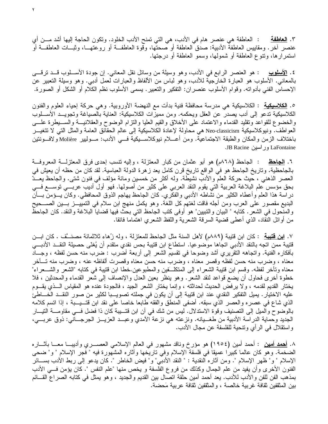٣. ا<mark>لـعاطفة</mark> : العاطفة هي عنصر هام في الأدب، هي التي تمنح الأدب الخلود. وتكون الحاجة إليها أشد مـــن أي عنصر أخر . ومقاييس العاطفة الأدبية: صدق العاطفة أو صحتها، وقوة العاطفــة أو روعتهـــا، وثبـــات العاطفــة أو استمرارها، وتنوع العاطفة أو شمولها، وسمو العاطفة أو درجتها.

٤. <u>الأسلوب</u> : هو العنصر الرابع في الأدب، وهو وسيلة من وسائل نقل المعاني. إن جودة الأســـلوب قـــد ترقــــي بالمعاني. الأسلوب هو العبارة الخارجية للأدب، وهو لباس من الألفاظ والعبارات لعمل أدبي. وهو وسيلة التعبير عن الإحساس الفني بأدواته. وقوام الأسلوب عنصران: التفكير والتعبير. يسمى الأسلوب نظم الكلام أو الشكل أو الصورة.

0. <u>الكلاسيكية</u> : الكلاسيكية هي مدرسة محافظة فنية بدأت مع النهضة الأوروبية. وهي حركة إحياء العلوم والفنون الكلاسيكية تدعو إلى أدب يصدر عن العقل ويحكمه. ومن مميزات الكلاسيكية: العناية بالصياغة وتجويــد الأســـلوب والخضوع للقواعد وتقليد القدماء والاعتماد على الأخلاق والقيم العليا والنزام الوضوح والعقلانيـــة والســـيطرة علـــي العواطف. ونيوكلاسيكية Neo-classicism هي محاولة لإعادة الكلاسيكية إلى عالم الحقائق العامة والمثل التبي لا تتغيـــر باختلاف الزمن والمكان والطبقة الاجتماعية. ومن أعـــلام نيوكلاســـيكية فــــي الأدب: مـــوليير Molière ولافـــونتين LaFontaine وراسين LaFontaine

٦. ا<mark>لجاحظ</mark> : الجاحظ (٨٦٨م) هو أبو عثمان من كبار المعتزلة ، وإليه نتسب إحدى فرق المعتزلــــة المعروفـــة بالجاحظية. وتاريخ الجاحظ هو في الواقع تاريخ قرن كامل يعد زهرة الدولة العباسية. لقد كان من حظه أن يعيش في العصر الذهني ، حيث حركة العلم والأدب نشيطة. وله أكثر من خمسين ومائة مؤلف في فنون شتى. والجاحظ يعــدّ بحق مؤسس علم البلاغة العربية التي يقوم النقد العربي على كثير من أصولها. فهو أول أديب عربـــي نوســـع فـــي دراسة هذا العلم وأعطاه الكثير من نشاطه الأدبـي والفكري. كان الجاحظ يـهاجم الذوق المحافظـي. وكان يـــؤمن بـــأن البديع مقصور على العرب ومن أجله فاقت لغتهم كل اللغة. وهو يكمل منهج ابن سلام في التمييــز بـــين الصــــحيح والمنحول في الشعر . كتابه " البيان والنبيين" هو أوفي كتب الجاحظ التي بحث فيها قضايا البلاغة والنقد. كان الجاحظ من أوائل النقاد، الذي أعطـي قضية السرقة الشعرية واللفظ الشعري اهتماما فائقا.

٧. <u>ا**ين فَتيبةَ** :</u> كان ابن قتيبة (٨٨٩م) لأهل السنة مثل الجاحظ للمعتزلة ، وله ز<sup>ُ</sup>هاء ثلاثمائة مصنـــَّف . كان ابـــن قتيبة ممن اتجه بالنقد الأدبي اتجاها موضوعيا. استطاع ابن قتيبة بحس نقدي متقدم أن يُغنّي حصيلة النقــد الأدبـــي بأفكاره الفنية. واتجاهه النقريري أشد وضوحا في نقسيم الشعر إلى أربعة أضرب : ضرب منه حسن لفظه ، وجـــاد معناه ، وضرب منه حسن لفظه وقصر معناه ، وضرب منه حسن معناه وقصرت ألفاظه عنه ، وضرب منه تــأخر معناه وتأخر لفظه. وقسم ابن قتيبة الشعراء إلى المتكلَّــفين والمطبوعين.خطا ابن قتيبة في كتابه "الشعر والشـــعراء" خطوة أخرى فحاول أن يضع قواعد لنقد الشعر . وهو ينظر بعين العدل والإنصاف إلى شعر القدماء والمحدثين ، فلا يختار القديم لقدمه ، ولا يرفض الحديث لحداثته ، وإنما يختار الشعر الجيد ، فالجودة عنده هو المقياس الـــذي يقـــوم عليه الاختيار . يميل التفكير النقدي عند ابن قتيبة إلى أن يكون في جملته تصويـــبا لكثير من صور النقـــد الخــــاطئ الذي شاع في عصره والعصر الذي سبقه. أضفي المنطق والفقه طابعا خاصا على نقد ابن قتـــيـــبة ، إذا اتسم كلامه بالوضوح والمُلِّل إلى التصنيف وقوة الاستدلال. ليس من شك في أن ابن قُتَـــيبة كان ذا فضل فـــي مقاومـــة التيـــار الجديد وحماية الدراسة الأدبية من طغـــيانه. ونزعته هي نزعة الأمدي وعبـــد العزيـــز الجرجــــانـي: ذوق عربـــي، واستقلال في الرأى ونتحية للفلسفة عن مجال الأدب.

٨. <u>أهمد أمين</u> : أحمد أمين (١٩٥٤) هو مؤرخ وناقد مشهور في العالم الإسلامي العصــــري وأديبــــا معــــا بأثــــاره الضخمة. وهو كان عالما كبيرًا عميقًا في فلسفة الإسلام وفي تاريخها وأثاره المشهورة فيه " فجر الإسلام " و" ضحى الإسلام " و" ظهر الإسلام ". ومن أثاره النقدية : " النقد الأدبي" و" فيض الخاطر ". كان يدعو إلىي ربط الأدب بســـائر الفنون الأخرى وأن يفيد من علم الجمال وكذلك من فروع الفلسفة و يخص منها "علم النفس ". كان يؤمن فـــي الأدب بمذهب الفن للفن والأدب للأدب. يعد أحمد أمين حلقة اتصال بين القديم والجديد ، وهو يمثل في كتابه الصراع القـــائم بين المثقفين ثقافة غربية خالصة ، والمثقفين ثقافة عربية مَحضة.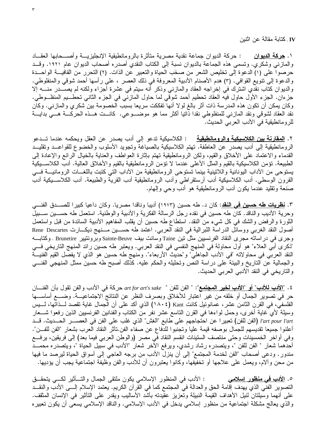IV . كتابة مقالة عن اثنين

١. **حركة الديوان :** حركة الديوان جماعة نقدية مصر ية متأثر ة بالر و مانطيقية الإنجليز يـــة و أصــــحابها العقـــاد والمازني وشكري. وتسمى هذه الجماعة بالديوان نسبة إلى الكتاب النقدي أصدره أصحاب الديوان عام ١٩٢١. وقــد حرصوا على (١) الدعوة إلى تخليص الشعر من صخَب الحياة والتعبير عن الذات. (٢) التحرر من القافيـــة الواحـــدة والدعوة إلى نتويع القوافي. (٣) هدم الأصنام الأدبية المعروفة في ذلك العصر ، على رأسها أحمد شوقي والمنفلوطي. والديوان كتاب نقدي اشترك في إخراجه العقاد والمازنبي وذكر أنه سيتم في عشرة أجزاء ولكنه لم يصــــــــــر منــــــه إلا جزءان. الجزء الأول حاول فيه العقاد تحطيم أحمد شوقي لما حاول المازني في الجزء الثاني تحطـــيم المنفلـــوطي. وكان يمكن أن تكون هذه المدرسة ذات أثر بالغ لولا أنها تفككت سريعا بسبب الخصومة بين شكري والمازني. وكان نقد العقاد لشوقي ونقد المازنبي للمنفلوطي نقدا ذاتيا أكثر مما هو موضـــوعي. كانـــت هـــذه الحركـــة هـــي بدايـــة للرومانطيقية في الأدب العربي الحديث.

٢. <u>ال**مقارنة بين الكلاسيكية والرومانطيقية** مع</u> : الكلاسيكية تدعو إلى أدب يصدر عن العقل ويحكمه عندما تـــدعو الرومانطيقية إلى أدب يصدر عن العاطفة. تهتم الكلاسيكية بالصياغة وتجويد الأسلوب والخضوع للقواعــد وتقليــد القدماء والاعتماد على الأخلاق والقيم، ولكن الرومانطيقية تهتم بإثارة العواطف والعناية بالخيال الرائع والإعادة إلى الطبيعة. تؤمن الكلاسيكية بالقيم والمثل الأعلى عندما لا تؤمن الرومانطيقية بالقيم والأخلاق العالية. أدب الكلاســيكية يستوحى من الأداب اليونانية واللاتينية بينما تستوحى الرومانطيقية من الأداب التي كتبت باللغـــات الرومانيـــة فـــي القرون الوسطى. أدب الكلاسيكية أدب أرستقراطي وأدب الرومانطيقية أدب القرية والطبيعة. أدب الكلاســـيكية أدب صَنعة ونقليد عندما يكون أدب الرومانطيقية هو أدب وحي وإلىهام.

٣. <mark>نظريات طه حسين في النقد</mark>: كان د. طه حسين (١٩٧٣) أديبا وناقدا مصريا. وكان داعيا كبيرا للصــــدق الفنــــي وحرية الأديب والناقد. كان طه حسين في نقده رجل الرسالة الفكرية والأدبية والوطنية. استعمل طه حســـين ســـبيل الثورة والرفض والشك في كل شيء من النقد. استطاع طه حسين أن يقلب المفاهيم الأدبية السائدة من قبل واستعمل أصول النقد الغربي ووسائل الدراسة اللبرالية في النقد العربي. اعتمد طه حســين مــنـهج ديكـــارت Rene Descartes وجرى في در اساته مجرى النقاد الفرنسيين مثل تين Taine وسانت بيف Sainte-Beuve وبرونتيير Brunetire . وكتابـــه "ذكر ي أبني العلاء" هو أول محاولة في المنهج النفسي في النقد العربي. ويعتبر طه حسين رائد المنهج التاريخي فسي النقد العربي في محاولاته "في الأدب الجاهلي" و"حديث الأربعاء". ومنهج طه حسين هو الذي لا يفصل القيم الفنيـــة والجمالية عن الناريخ والبيئة على دراسة النص وتحليله والحكم عليه. كذلك أصبح طه حسين ممثل المنهجي الفنـــي والتاريخي في النقد الأدبي العربي الحديث.

٤. <u>"الأدب للأدب" أو "الأدب لخير المجتمع</u>": " الفن للفن " art for art's sake حركة في الأدب و الفن نقول بأن الفنــــان حر في تصوير الجمال أو خلقه من غير اعتبار للأخلاق وبصرف النظر عن النتائج الاجتماعيـــة. وضــــع أساســــها الفلسفي، في القرن الثامن عشر، عمانوئيل كانت Kant (١٨٠٤) الذي أكد على أن الجمال غاية تقصد لــذاتها، لـــيس وسيلة لأي غاية أخرى، وحمل لواءها في القرن الناسع عشر نفر من الكتاب والفنانين الفرنسيين الذين رفعوا شـــعار l'art pour l'art (الفن للفن) تعبير ا عن احتجاجهم على طابع "الغِش" الذي غلب على الفن في العصــــــر الحــــديث. قــــد أعلنوا جميعا تقديسهم للجمال بوصفه قيمة عليا وتجنبوا للدفاع عن صفاء الفن.تأثر النقاد العرب بشعار "الفن للفـــن". وفي أواخر الخمسينات وحتى منتصف الستينات انقسم النقاد في مصر (والوطن العربي فيما بعد) إلى فريقين، يرفــع أحدهما شعار " الفن للفن "، ويتصدره رشاد رشدي، ويرفع الأخر شعار "الأدب في سبيل الحياة "، ويتصدره محمـــد مندور . ودعى أصحاب "الفن لخدمة المجتمع" إلى أن ينزل الأدب من برجه العاجي إلى أسواق الحياة ليرصد ما فيها من محن وألام، ويعمل على علاجها أو تخفيفها، وكانوا يعتبرون أن للأدب والفن وظيفة اجتماعية يجب أن يؤديها.

0. <u>الأدب في منظور إسلامي</u> : الأدب في المنظور الإسلامي يكون ملتقى الجمال والتـــأثير لكـــي يتحقـــق التصوير الفني الذي يهدف إقامة الحق والعدالة في المجتمع كما في القرأن الكريم. يعتمد الإسلام إلـــي الأدب والنقــد على أنهما وسيلتان لنيل الأهداف القيمة النبيلة وتعزيز عقيدته بأشد الأساليب ويقدر على التأثير في الإنسان المثقف. والذي يعالج مشكلة اجتماعية من منظور ٳسلامي يدخل في الأدب الإسلامي. والناقد الإسلامي يسعى أن يكون تعبيره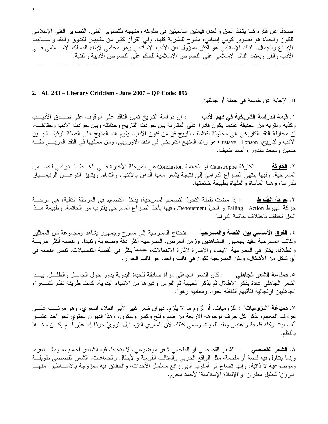صادقا عن فكر ه كما يتخذ الحق والعدل قيمتين أساسيتين في سلوكه ومنهجه للتصوير الفني. التصوير الفني الإسلامي للكون والحياة هو تصوير كونـي إنسانـي، مفتوح للبشرية كلـها. وفـي القرأن كثير من مقابيس للنذوق والنقد وأســـاليب الإبداع والجمال. الناقد الإسلامي هو أكثر مسؤول عن الأدب الإسلامي وهو محامي لإبقاء المسلك الإســــلامي فــــي الأدب والفن ويعتمد الناقد الإسلامي على النصوص الإسلامية للحكم على النصوص الأدبية والفنية. nnnnnnnnnnnnnnnnnnnnnnnnnnnnnnnnnnnnnnnnnnnnnnnnnnnnnnnnnnnnnnnnnnnnnn

#### **2. AL 243 – Literary Criticism - June 2007 – QP Code: 896**

II . الإجابة عن خمسة في جملة أو جملتين

١. <mark>قيمة الدر اسة التاريخية في فهم الأدب</mark> : إن در اسة التاريخ تعين الناقد على الوقوف على صـــدق الأديــب وكذبه وتقربه من الحقيقة عندما يكون قادرا على المقارنة بين حوادث التاريخ وحقائقه وبين حوادث الأدب وحقائقـــه. إن محاولة النقد التاريخي هي محاولة اكتشاف تاريخ فن من فنون الأدب. يقوم هذا المنهج على الصلة الوثيقـــة بـــين الأدب والتاريخ. Gustave Lonson هو رائد المنهج التاريخي في النقد الأوروبي. ومن ممثليها في النقد العربـــي طـــه حسين ومحمد مندور وأحمد ضبف.

ل**كارِثَةَ** : الكارِثة Catastrophe أو الخاتمة Conclusion هي المرحلة الأخير ة فــي الخـــط الـــدر امي لتصـــميم ٢. الكارثة المسرحية. وفيها ينتهي الصراع الدرامي إلى نتيجة يشعر معها الذهن بالانتهاء والتمام. ويتميز النوعـــان الرئيســـيان للدر اما، وهما المأساة والملهاة بطبيعة خاتمتها.

<u>لهُبوط</u> : إذا مضت نقطة التحول لتصميم المسرحية، يدخل التصميم في المرحلة التالية، هي مرحـــة ٣. <u>حركة الهُبوط</u> حركة الهبوط Falling Action أو الحلّ Denouement. وفيها يأخذ الصراع المسرحي يقترب من الخاتمة. وطبيعة هــذا الحل تختلف باختلاف خاتمة الدر اما.

٤. <mark>الفرق الأساسي بين القصة والمسرحية</mark> :تحتاج المسرحية إلى مسرح وجمهور يشاهد ومجموعة من الممثلين وكاتب المسرحية مقيد بجمهور المشاهدين وزمن العرض. المسرحية أكثر دقة وصعوبة ونقيدا، والقصة أكثر حريـــة وانطلاقا. يكثر في المسرحية الإيحاء والإشارة لإثارة الانفعالات، عندما يكثر في القصة التفصيلات. تقص القصة في أي شكل من الأشكال، ولكن المسرحية تكون في قالب واحد، هو قالب الحوار .

0. <u>صناعة الشعر الجاهلي</u> : كان الشعر الجاهلي مرأة صادقة للحياة البدوية يدور حول الجمـــل والطلـــل. يبـــدأ الشعر الجاهلي عادة بذكر الأطلال ثم بذكر الحبيبة ثم الفرس وغيرها من الأشياء البدوية. كانت طريقة نظم الشـــعراء الجاهليين ارتجالية فتأتيهم ألفاظه عفوا، ومعانيه رهوا.

٧. <u>صياغة "المزوميات</u>" : اللزوميات، أو لزوم ما لا يلزم، ديوان شعر كبير لأبي العلاء المعري، وهو مرتـــب علـــ<sub>ى</sub> حروف المعجم، يذكر كل حرف بوجوهه الأربعة من ضم وفتح وكسر وسكون، وهذا الديوان يحتوي نحو أحد عشـــر ألف بيت وكله فلسفة واعتبار ونقد للحياة، وسمي كذلك لأن المعري النزم قبل الرَويّ حرفا إذا غيّر لـــم يكـــن مخـــلا بالنظم.

٨. <u>ا**لشعر القصصي :** الشعر القصصي أو الملحمي شعر موضوعي، لا يتحدث في</u>ه الشاعر أحاسيسه ومشــــاعره. وإنما يتناول فيه قصة أو ملحمة، مثل الواقع الحربي والمناقب القومية والأبطال والجماعات. الشعر القصصـي طويلـــة وموضوعية لا ذاتية، وإنها تصاغ في أسلوب أدبي رائع مسلسل الأحداث، والحقائق فيه ممزوجة بالأســـاطير . منهـــا "نيرون" لخليل مطران" و"الإلياذة الإسلامية" لأحمد محرم.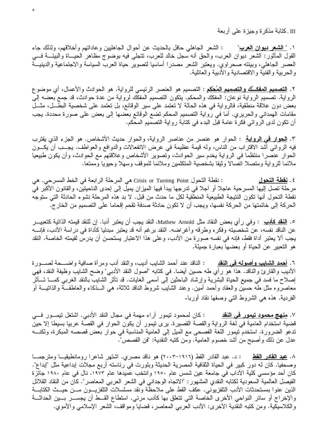III .كنابة مذكرة وجيزة على أربعة

١. <u>" ال**شعر ديوان العرب**"</u> : الشعر الجاهلي حافل بالحديث عن أحوال الجاهليين وعاداتهم وأخلاقهم، ولذلك جاء القول المأثور: الشعر ديوان العرب، والحق أنه سجل خالد للعرب، نتجلَّى فيه بوضوج مظاهر الحيـــاة والبيئـــة فـــي العصر الجاهلي، وبيئته صحراوي. ويعتبر الشعر مصدرًا أساسيا لتصوير حياة العرب السياسة والاجتماعية والدينيـــة والحربية والفنية والاقتصادية والأدبية والعائلية.

٢. <u>الت**صميم المفكـــّك والتصميم المُحْكَم** :</u> التصميم هو العنصر الرئيسي للرواية. هو الحوادث والأعمال، أي موضوع الرواية. تصميم الرواية نوعان: المفكك والمحكم. يتكون التصميم المفكك لرواية من عدة حوادث، قد جمع بعضه إلى بعض دون علاقة منطقية، فالرواية في هذه الحالة لا تعتمد على سير الوقائع، بل تعتمد على شخصية البطـــل، مثـــل مقامات الهمداني والحريري. أما في رواية التصميم المحكم تضع الوقائع بعضها إلى بعض على صورة محددة. يجب أن نكون لدى الروائي فكرة عامة قبل البدء في كتابة رواية التصميم المحكم.

٣. <u>الحوار في الرواية</u> : الحوار هو عنصر من عناصر الرواية، والحوار حديث الأشخاص. هو الجزء الذي يقترب فيه الروائـي أشد الاقتراب من النـاس، ولـه قيمـة عظيمـة فـي عرض الانفعالات والدوافـع والعواطف. يجـــب أن يكـــون الحوار عنصرًا منتظمًا في الرواية يُخدم سير الحوادث، وتصوير الأشخاص وعلاقتهم مع الحوادث، وأن يكون طبيعيا ملائما للرواية ومتصلا اتصالا وثيقا بشخصية المتكلمين وملائما للموقف وسهلا وحيويا وممتعا.

: نقطة النحول Crisis or Turning Point هي المرحلة الرابعة في الخط المسرحي. هي ٤. ن<u>قطة التحول</u> مرحلة تصل إليها المسرحية عاجلا أو أجلا في تدرجها يبدأ فيها الميزان يميل إلى إحدى الناحيتين، والقانون الأكبر في نقطة التحول أنها تكون النتيجة الطبيعية المنطقية لكل ما حدث من قبل. لا بد هذه المرحلة نشوء الحادثة التي ستوجه الحركة إلى خاتمتها من الحركة نفسها، ويجب أن لا نكون حادثة صدفة تقحم إقحاما على التصميم من الخار ج.

0. <u>النقد كأدب</u> : وفي رأي بعض النقاد مثل Mathew Arnold، النقد يجب أن يعتبر أدبا. إن للنقد قيمته الذاتية كتعبيـــر عن الناقد نفسه، عن شخصيته وفكره وطرقه وأغراضه. النقد برغم أنه قد يعتبر مبدئيا كأداة في دراسة الأدب، فإنــــه يجب ألا يعتبر أداة فقط، فإنه في نفسه صورة من الأدب، وعلى هذا الاعتبار يستحسن أن يدرس لقيمته الخاصة. النقد هو التعبير عن الحياة أو بعضها بعبارة جميلة.

٦. أ<u>همد الشايب وأصوله في النقد</u> : الناقد عند أحمد الشايب أديب، والنقد أدب ومرآة صافية واضــــحة لصــــورة الأديب والقارئ والناقد. هذا هو رأي طه حسين أيضا. في كتابه "أصول النقد الأدبي" وضح الشايب وظيفة النقد، فهي إصلاح ما فسد في جميع الحياة البشرية وإرشاد الباحثين إلى أسمى الغايات. قد تأثر الشايب بالنقد الغربي كمـــا تـــأثر معاصروه مثل طه حسين والعقاد وأحمد أمين. وعند الشايب شروط الناقد ثلاثة، هي الـــذكاء والعاطفـــة والذاننيـــة أو الفردية. هذه هي الشروط التـي وصفها نقاد أوربا.

٧. <u>م**نهج محمود تيمور في النقد** هي : كان لمحمود تيمور آراء مهمة في مجال النقد الأدبي. اشتغل تيمـــور فـــي </u> قضية استخدام العامية في لغة الرواية والقصة القصيرة. يرى نيمور أن يكون الحوار في القصة عربيا بسيطا إلا حين تدعو الضرورة. استخدم تيمور اللغة الفصحى مع الميل إلى العامية المناسبة في حوار بعض قصصه المبكرة، ولكنــــه عدل عن ذلك وأصبح من أشد خصوم العامية. ومن كتبه النقدية: "فن القصص".

٨. <u>عبد القادر القط</u> : د. عبد القادر القط (١٩١٦–٢٠٠٣) هو ناقد مصري. اشتهر شاعرا رومانطيقيــا ومترجمـــا وصحفيا. كان له دور كبير في الحياة الثقافية المصرية الحديثة وبلورت في رئاسته أربع مجلات إبداعية مثل "إبداع". كان أحد مؤسسي كلية الآداب في جامعة عين شمس عام ١٩٥٠ وانتخب عميدها عام ١٩٧٣. نال في عام ١٩٨٠ جائزة الفيصل العالمية السعودية لكتابه النقدي المشهور : "الاتجاه الوجداني في الشعر العربي المعاصر ". كان من النقاد القلائل الذين عنوا بمستحدثات الأدب النلفزيوني. عكف القط على ملاحظة ونقد مسلسلات التلفزيـــون مـــن حيـــث الكتابـــة والإخراج أو سائر النواحي الأخرى الخاصة التي تتعلق بها كأدب مرئي. استطاع القـــط أن يجســـر بـــين الحداثـــة والكلاسيكية. ومن كتبه النقدية الأخرى: الأدب العربي المعاصر، قضايا ومواقف، الشعر الإسلامي والأموي.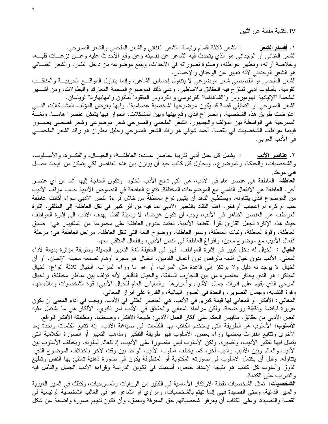IV . كتابة مقالة عن اثنين

: الشعر ثلاثة أقسام رئيسة: الشعر الغنائبي والشعر الملحمي والشعر المسرحي. ۱. <u>أقسام الشعر</u> الشعر الغنائـي أو الوجدانـي هو الذي يتحدث فيه الشاعر عن نفسيته وعن وقع الأحداث عليه وعـــن نزعــــات قلبــــه، وخلاصة أرائه، ومظهر عواطفه، وصفوة تصوراته في الأحداث، وينبع موضوعه من داخل النفس. والشعر الغنـــائـي هو الشعر الوجدانـي لأنـه تـعبير عن الوجدان والإحساس. الشعر الملحمي أو القصصبي شعر موضوعي لا يتناول إحساس الشاعر، وإنما يتناول المواقـــع الحربيـــة والمناقـــب القومية، بأسلوب أدبـي تمتز ج فيه الـحقائق بالأساطير . وعلـي ذلك فموضوع الملحمة المعارك والبطولات. ومن أشــــهر الملحمة "الإلياذية" لمهوِّميروس و"الشاهنامة" للفردوسي و"الفردوس المفقود" لملتون و"مهابهارنا" لوياسان. الشعر المسرحي أو التمثيلي قصة قد يكون موضوعها "شخصية عصامية". وفيها يعرض المؤلف المشــكلات التـــي اعترضت طريق هذه الشخصية، والصراع الذي وقع بينها وبين المشكلات، الحوار فيها يشكل عنصرا هامـــا. ولغـــة المسرحية هي الواسطة بين المؤلف والجمهور. الشعر الملحمي والمسرحي شعر موضوعي وشعر قصصبي يصـــور فيهما عواطف الشخصيات في القصة. أحمد شوقي هو رائد الشعر المسرحي وخليل مطران هو رائد الشعر الملحمـــي في الأدب العربي.

: يَشْمَلْ كُلّْ عَمْلْ أَدْبِي نَقْرِيبًا عَنَّاصُرٍ عَــدة: العَاطَفَــة، والْخَيــال، والْفَكــرة، والأســـلوب، ۲. <u>عناصر الأدب</u> والشخصيات، والحبكة، والموضوع.. ويحاول كل كاتب جيد أن يوازن بين هذه العناصر لكي يتمكن من إيجاد عمـــل فنی موحّد.

ا**لعاطفة**: العاطفة هي عنصر هام في الأدب، هي التي تمنح الأدب الخلود. وتكون الحاجة إليها أشد من أي عنصر آخر . العاطفة هي الانفعال النفسي مع الموضوعات المختلفة. تتنوع العاطفة في النصوص الأدبية حسب موقف الأديب من الموضوع الذي يتناوله. ويستطيع الناقد أن يتبين نوع العاطفة من خلال قراءة النص الأدبـي سواء أكانت عاطفة حب أم كره أم إعجاب أم فخر . اهتم النقاد بالتعبير الأدبي لما فيه من أثر كبير في نقل العاطفة إلى المتلقى. إثارة العواطف هي العنصر الظاهر في الأدب، يجب أن تكون غرضا، لا وسيلة فقط. يهدف الأدب إلى إثارة العواطف حيث هذه الإثارة تجعل القارئ يقرأ القطعة الأدبية. تعتمد عدوى العاطفة على مجموعة من المقاييس هي: صدق العاطفة، وقوة العاطفة، وثبات العاطفة، وسمو العاطفة، ووضوح اللغة التي نتقل العاطفة. مراحل العاطفة هي: مرحلة انفعال الأديب مع موضوع معين، وإفراغ العاطفة في النص الأدبي، وانفعال المتلقي معها.

ا**لخيال :** الخيال له دخل كبير في إثارة العواطف. فهو في الحقيقة لغة التعبير الجميلة وطريقة مؤثرة بديعة لأداء المعنى. الأدب بدون خيال أشبه بالرقص دون أعمال القدمين. الخيال هو مجرد أوهام تصنعه مخيلة الإنسان، أو أن الخيال لا يوجد له دليل ولا يرتكز إلى قاعدة مثل السراب، أو هو ما وراء السراب. الخيال ثلاثة أنواع: الخيال المبتكر : هو الذي يختار عناصره من بين التجارب السابقة، والخيال التأليفي لأنه تؤلف بين مناظر مختلفة، والخيال الموحى الذي يقوم على إدراك جمال الأشياء وأسرارها. والمقياس العام للخيال الأدبي: قوة الشخصيات وملاءمتها، وقوة النشابه، وجمال النصوير، والحدة في الصور البيانية، والقدرة على إبراز المعاني.

المعاني : الأفكار أو المعاني لها قيمة كبرى في الأدب. هي العنصر العقلي في الأدب. ويجب في أداء المعنى أن يكون غزيرة فياضة ودقيقة وواضحة. ولكن مراعاة المعاني والحقائق في الأدب أمر ثانوي. الأفكار هي ما يشتمل عليه النص الأدبي من حقائق. مقاييس الحكم على أفكار العمل الأدبي: طبيعة الأفكار ، وصحتها، ومطابقة الأفكار للواقع.

**الأسلوب:** الأسلوب هو الطريقة التي يستخدم الكاتب بها الكلمات في صياغة الأدب. إنه تتابع الكلمات واحدّة بعد الأخرى وتتابع الفقرات بعضها وراء بعض. الأسلوب فهو طريقة التفكير ومذاهب النعبير أو الصورة الكلامية التبي يتمثَّل فيها تفكير الأديب، وتفسيره. ولكن الأسلوب ليس مقصورًا على الأديب، إذ للعالم أسلوبه. ويختلف الأسلوب بين الأديب والعالم وبين الأديب وأديب أخر ، كما يختلف أسلوب الأديب الواحد بين وقت لأخر باختلاف الموضوع الذي يتناوله. وقبل أن يكتمل الأسلوب في صورته المكتوبة أو المنطوقة يكون في صورة ذهنية تمتلئ بها النفس وتطبع الذوق وأسلوب كل كاتب هو نتيجة لإعداد خاص، أسهمت في تكوين الدراسة وقراءة الأدب الجميل والتأمل فيه والندريب على الكتابة.

ا**لشخصيات:** تمثل الشخصيات نقطة الارتكاز الأساسية في الكثير من الروايات والمسرحيات، وكذلك في السير الغيرية والسير الذاتية، وحتى القصيدة فهي إنما تهتم بالشخصيات، والراوي أو الشاعر هو في الغالب الشخصية الرئيسية في القصة والقصيدة. وعلى الكتاب أن يعرفوا شخصياتهم حق المعرفة وبعمق، وأن تكون لديهم صورة واضحة عن شكل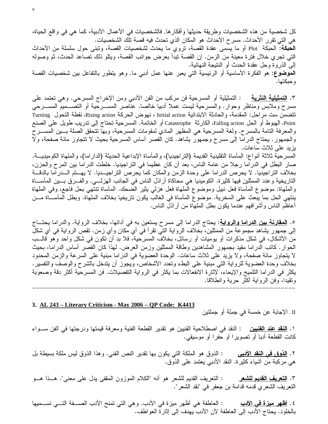كل شخصية من هذه الشخصيات وطريقة حديثها وأفكار ها. فالشخصيات في الأعمال الأدبية، كما هي في واقع الحياة، هي التي تقرر الأحداث. مسر ح الأحداث هو المكان الذي تحدث فيه قصبة تلك الشخصيات. ا**لحبكة**: الحبكة Plot أو ما يسمى عقدة القصة، نزوي ما يحدث لشخصيات القصة، وتبنى حول سلسلة من الأحداث التي تجري خلال فترة معينة من الزمن. إن القصة تبدأ بعرض جوانب القصة، ويتلو ذلك تصاعد الحدث، ثم وصوله إلى الذروة وحل عقدة الحدث أو الننتيجة النهائية. **الموضوع**: هو الفكرة الأساسية أو الرئيسية التي يعبر عنها عمل أدبي ما. وهو يتطور بالتفاعل بين شخصيات القصة و حبكتها.

٣. <u>التمثيلية النثرية</u> : التمثيلية أو المسرحية فن مركب من الفن الأدبي ومن الإخراج المسرحي. وهي تعتمد على مسرح وملابس ومناظر وحوار. والمسرحية ليست عملا أدبيا خالصا. عناصر المســـرحية أو التصــــميم المســـرحي تتضمن ست مراحل: المقدمة، والحادثة الابتدائية Initial action ، نهوض الحركة Rising action، نقطة التحول Turning Point، الهبوط أو الحل Falling action، الكارثة Catastrophe أو الخاتمة. المسرحية تحتاج إلى تدريب طويل على الصنع والمعرفة النامة بالمسرح. ولغة المسرحية هي المظهر المادي لمقومات المسرحية، وبها نتحقق الصلة بـــين المســـرح والجمهور . يحتاج الدراما إلى مسرح وجمهور يشاهد. كان القصر أساس المسرحية بحيث لا نتجاوز مائة صفحة، ولا يزيد على ثلاث ساعات.

المسرحية ثلاثة أنواع: المأساة التقليدية القديمة (التراجيديا)، والمأساة الإبداعية الحديثة (الدار اما)، والملهاة الكوميديـــة. صار البطل في الدراما رجلا من عامة الناس، بعد أن كان عظيما في التراجيديا. خلطت الدراما بين المرح والحزن، بخلاف التراجيديا. لا يحرص الدراما على وحدة الزمن والمكان كما يحرص التراجيـــديا. لا يهـــتم الـــدراما بالدقـــة التاريخية وعدد الممثلين فيها كثيرة. الكوميديا هي محاكاة أراذل الناس في الجانب الهزلــــي. والفـــرق بــــين المأســــاة والملهاة: موضوع المأساة فعل نبيل وموضوع الملهاة فعل هزلي يثير الضحك. المأساة تنتهي بحل فاجع، وفي الملهاة ينتهي الحل بما يبعث على السخرية. موضوع المأساة في الغالب يكون تاريخيا بخلاف الملهاة. وبطل المأســـاة مـــن أعاظم الناس وأشرافهم عندما يكون بطل الملهاة من أراذل الناس.

0. <u>ا**لمقارنـة بين الدرامـا والروايـة**: ي</u>حتاج الدرامـا إلـى مسرح يستعين بـه فـي أدائـها، بخلاف الروايـة. والدرامـا يحتـــاج إلى جمهور يشاهد مجموعة من الممثلين، بخلاف الرواية التي تقرأ في أي مكان وأي زمن. تقص الرواية في أي شكل من الأشكال، في شكل مذكرات أو يوميات أو رسائل، بخلاف المسرحية، فلا بد أن تكون في شكل واحد وهو قالـــب الحوار . كاتب الدراما مقيد بجمهور المشاهدين وطاقة الممثلين وزمن العرض. لمهذا كان القصر أساس الدراما، بحيث لا يتجاوز مائة صفحة، ولا يزيد على ثلاث ساعات. الوحدة العضوية في الدراما مبنية على السرعة والزمن المحدود بخلاف وحدة العضوية للرواية التي مبنية على البطء وتعدد الأشخاص، ويجوز أن يتدخل بالشرح والوصف والتفسير . يكثر في الدراما التلميح والإيحاء، لإثارة الانفعالات بما يكثر في الرواية التفصيلات. فن المسرحية أكثر دقة وصعوبة ونقيدا، وفن الرواية أكثر حرية وانطلاقا.

nnnnnnnnnnnnnnnnnnnnnnnnnnnnnnnnnnnnnnnnnnnnnnnnnnnnnnnnnnnnnnnnnnnnnnn

#### **3. AL 243 – Literary Criticism - May 2006 – QP Code: K4413**

II . الإجابة عن خمسة في جملة أو جملتين

١. <u>ا**لنقد عند الفنيين :** الن</u>قد في اصطلاحية الفنيين هو تقدير القطعة الفنية ومعرفة قيمتها ودرجتها في الفن ســـواء كانت القطعة أدبا أو تصويرا أو حفرا أو موسيقي.

<u>ديبي</u> : الذوق هو الملكة التي يكون بها تقدير النص الفني. وهذا الذوق ليس ملكة بسيطة بل ٢. <u>الذوق في النقد الأ</u> هي مركبة من أشياء كثيرة. النقد الأدبـي يعتمد علـي الذوق.

<u>للشعر : التعري</u>ف القديم للشعر هو أنه "الكلام الموزون المقفى يدل على معنى". هـــذا هـــو ٣. <u>التعريف القدي</u>م ا التعريف الشعري قدمه قدامة بن جعفر في "نقد الشعر".

<u>دب</u> : العاطفة هي أظهر ميزة في الأدب. وهي التي تمنح الأدب الصــــفة التــــي نســــميها ( ٤. <u>أظهر ميزة في الأدب</u> بالخلود. يحتاج الأدب إلى العاطفة لأن الأدب يهدف إلى إثارة العواطف.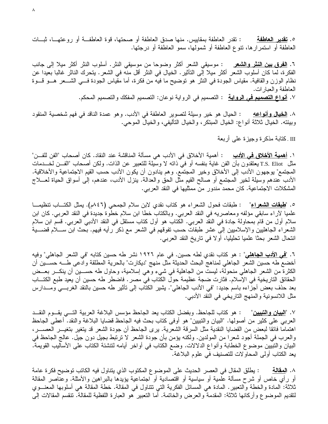: تقدر العاطفة بمقاييس. منها صدق العاطفة أو صحتها، قوة العاطفــة أو روعتهـــا، ثبـــات 0. <u>تقدير العاطفة</u> العاطفة أو استمرارها، تتوع العاطفة أو شمولها، سمو العاطفة أو درجتها.

: موسيقي الشعر أكثر وضوحا من موسيقي النثر . أسلوب النثر أكثر ميلا إلى جانب ٦. الفرق بين النثر والشعر الفكر ة، لما كان أسلوب الشعر أكثر ميلا إلى التأثير . الخيال في النثر أقل منه في الشعر . يتحرك الناثر غالبا بعيدا عن نظام الوزن والقافية. مقياس الجودة في النثر هو توضيح ما فيه من فكرة، أما مقياس الجودة فسي الشـــعر هـــو قـــوة العاطفة والعبارات. ٧. <mark>أنواع التصميم في الرواية</mark> : التصميم في الرواية نوعان: التصميم المفكك والتصميم المحكم.

: الحيال هو خير وسيلة لتصوير العاطفة في الأدب. وهو عمدة الناقد في فهم شخصية المنقود ۸. الخيال و أنو اعه وبيئته. الخيال ثلاثة أنواع: الخيال المبتكر، والخيال التأليفي، والخيال الموحى.

III .كتابة مذكرة وجيزة علمي أربعة

١. <mark>أهمية الأخلاق في الأدب</mark> : أهمية الأخلاق في الأدب هي مسألة المناقشة عند النقاد. كان أصحاب "الفن للفـــن" مثل T.S. Eliot يعتقدون بأن الفن غاية بنفسه أو في ذاته لا وسيلة للتعبير عن الذات. ولكن أصحاب "الفـــن لخـــدمات المجتمع" بوجهون الأدب إلى الأخلاق وخير المجتمع. وهم ينادون أن يكون الأدب حسب القيم الاجتماعية والأخلاقية. الأدب عندهم وسيلة لخير المعتمع أو صالح القيم مثل الحق والعدالة. ينزل الأدب، عندهم، إلى أسواق الحياة لعـــلاج المشكلات الاجتماعية. كان محمد مندور من ممثليها في النقد العربي.

٥. "<mark>طبقات الشعراء</mark>" : طبقات فحول الشعراء هو كتاب نقدي لابن سلام الجمحى (٨٤٦م). يمثل الكتـــاب تنظيمـــا علميا لأراء سابقي مؤلفه ومعاصريه في النقد العربي. وبالكتاب خطا ابن سلام خطوة جديدة في النقد العربي. كان ابن سلام أول من قام بمحاولة جادة في النقد العربي. الكتاب هو أول كتاب مستقل في النقد الأدبي العربي. قسم ابن سلام الشعراء الجاهليين والإسلاميين إلى عشر طبقات حسب نفوقهم في الشعر مع ذكر رأيه فيهم. بحث ابن ســـلام قضــــية انتحال الشعر بحثًا علميا تحليليا، أولا في تاريخ النقد العربي.

٦. "<u>في الأدب الجاهلي</u>" : هو كتاب نقدي لطه حسين. في عام ١٩٢٦ نشر طه حسين كتابه "في الشعر الجاهلي" وفيه أخضع طه حسين الشعر الجاهلي لمناهج البحث الحديثة مثل منهج "ديكارت" بالحرية المطلقة وادعى طـــه حســـين أن الكثرة من الشعر الجاهلي منحولة، ليست من الجاهلية في شيء وهي إسلامية، وحاول طه حســـين أن ينكـــر بعـــض الحقائق التاريخية في الإسلام. فثارت ضجة عظيمة حول الكتاب في مصر . فاضطر طه حسين أن يعيد طبع الكتـــاب بعد حذف بعض أجزاءه باسم جديد: "فـي الأدب الـجاهلـي". يشير الكتاب إلـي تأثير طـه حسين بالنقد الغربـــي ومـــدارس مثل اللانسونية والمنهج التاريخي في النقد الأدبي.

٧. "<mark>البيان والتبيين</mark>" : هو كتاب للجاحظ. وبفضل الكتاب يعد الجاحظ مؤسس البلاغة العربية التـــي يقـــوم النقـــد العربي على كثير من أصولها. "البيان والتبيين" هو أوفى كتاب بحث فيه الجاحظ قضايا البلاغة والنقد. أعطي الجاحظ اهتماما فائقا لبعض من القضايا النقدية مثل السرقة الشعرية. يرى الجاحظ أن جودة الشعر قد يتغير بتغيـــر العصــــر، والعرب في الجملة أجود شعرًا من المولدين. ولكنه يؤمن بأن جودة الشعر لا ترتبط بجيل دون جيل. عالج الجاحظ في البيان والتبيين موضوع الخطابة وأنواع الدلالات. وضع الكتاب في أواخر أيامه لتتشئة الكتاب على الأساليب القويمة. يعد الكتاب أولى المحاولات للتصنيف في علوم البلاغة.

٨. ا<mark>لمـڤـالـة</mark> : يطلق المقال في العصر الـحديث على الموضوع المكتوب الذي يتناول فيه الكاتب توضيح فكر ة عامة أو رأى خاص أو شرح مسألة علمية أو سياسية أو اقتصادية أو اجتماعية يؤيدها بالبراهين والأمثلة. وعناصر المقالة ثلاثة: المادة والخطة والنعبير. المادة هي المسائل الفكرية التي نتناول في المقالة. خطة المقالة هي أسلوبها المعنـــوي لنقديم الموضوع وأركانها ثلاثة: المقدمة والعرض والخاتمة. أما التعبير هو العبارة اللفظية للمقالة. تنقسم المقالات إلى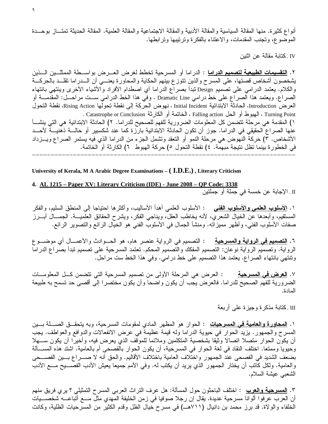أنواع كثيرة. منها المقالة السياسية والمقالة الأدبية والمقالة الاجتماعية والمقالة العلمية. المقالة الحديثة تمتـــاز بوحـــدة الموضوع، وتجنب المقدمات، والاعتناء بالفكرة وترتيبها وترابطها.

IV . كتابة مقالة عن اثنين

٢. <u>التقسيمات الطبيعية لتصميم الدراما</u> : الدراما أو المسرحية تخطط لغرض العـــرض بواســـطة الممثلـــين الـــذين يشخصون أشخاص قصتها، على المسرح والذين تتوزع بينهم الحكاية والمحاورة يعنـــي أن الـــدراما تقلـــد بالحركـــة والكلام. يعتمد الدرامي على تصميم Design تبدأ بصراع الدراما أي اصطدام الأفراد والأشياء الأخرى وينتهي بانتهاء الصراع. ويعتمد هذا الصراع على خط درامي Dramatic Line . وفي هذا الخط الدرامي ســت مراحــل: المقدمـــة أو العرض Introduction، الحادثة الابتدائية Initial Incident ، نهوض الحركة إلى نقطة تحولها Rising Action، نقطة التحول Turning Point ، الفيوط أو الحل Falling action ، الخاتمة أو الكارثة Catastrophe or Conclusion . ١) المقدمة هي مرحلة تتضمن كل المعلومات الضرورية للفهم للصحيح للدراما. ٢) الحادثة الابتدائية هي التي ينشـــأ عنها الصراع الحقيقي في الدراما. جوز أن تكون الحادثة الابتدائية بارزة كما عند شكسبير أو حالـــة ذهنيـــة لأحـــد الأشخاص. ٣) حركة النهوض هي مرحلة النمو أو النعقد وتشمل الجزء من الدراما الذي فيه يستمر الصراع ويـــزداد في الخطور ة بينما تظل نتيجة مبهمة. ٤) نقطة التحول ٥) حركة الهبوط ٦) الكارثة أو الخاتمة. nnnnnnnnnnnnnnnnnnnnnnnnnnnnnnnnnnnnnnnnnnnnnnnnnnnnnnnnnnnnnnnnnnnnnnn

**University of Kerala, M A Arabic Degree Examinations – ( I.D.E.) , Literary Criticism** 

**4. AL 1215 – Paper XV: Literary Criticism (IDE) - June 2008 – QP Code: 3338**  II . الإجابة عن خمسة في جملة أو جملتين

١. <u>الأسلوب العلمي والأسلوب الفنـي :</u> الأسلوب العلمي أهدأ الأساليب، وأكثر ها احتياجا إلـى المنطق السليم، والفكر المستقيم، وأبعدها عن الخيال الشعري، لأنه يخاطب العقل، ويناجي الفكر، ويشرح الحقائق العلميـــة. الـجمـــال أبـــرز صفات الأسلوب الفني، وأظهر مميزاته. ومنشأ الجمال في الأسلوب الفني هو الخيال الرائع والتصوير الرائع.

٦. <u>ا**لتصميم في الرواية والمسرحية** من الت</u>صميم في الرواية عنصر هام، هو الحـــوادث والأعمـــال أي موضــــوع الرواية. وتصميم الرواية نوعان: التصميم المفكك والتصميم المحكم. تعتمد المسرحية على تصميم تبدأ بصراع الدراما ونتتهي بانتهاء الصراع. يعتمد هذا التصميم على خط درامي. وفي هذا الخط ست مراحل.

<u>لمسرحية</u> : العرض هي المرحلة الأولى من تصميم المسرحية التي تتضمن كـــل المعلومــــات ٧. <u>العرض في ا</u> الضرورية للفهم الصحيح للدراما. فالعرض يجب أن يكون واضحا وأن يكون مختصرا إلى أقصىي حد تسمح به طبيعة المادة.

III .كتابة مذكرة وجيزة على أربعة

١. <u>المحاورة والعامية في المسرحيات</u> : الحوار هو المظهر المادي لمقومات المسرحية، وبه يتحقــق الصــــلة بـــين المسرح والجمهور . يزيد الحوار في حيوية الدراما وله قيمة عظيمة في عرض الانفعالات والدوافع والعواطف. يجب أن يكون الحوار متصلا اتصالا وثيقا بشخصية المتكلمين وملائما للموقف الذي يعرض فيه، وأخيرا أن يكون ســـهلا وحيويا وممتعا. اختلف النقاد في لغة الحوار في المسرحية، أن يكون الحوار بالفصحى أم بالعامية. اشتد هذه المســألة بضعف الشديد في الفصحى عند الجمهور واختلاف العامية باختلاف الأقاليم. والحق أنه لا صــــراع بــــين الفصــــحى والعامية. ولكل كاتب أن يختار الجمهور الذي يريد أن يكتب له. وفي الأمم جميعا يعيش الأدب الفصــــيح مــــع الأدب الشعبي عيشة السلام.

٣. <u>المسرحية والعرب</u> : اختلف الباحثون حول المسألة: هل عرف التراث العربي المسرح التمثيلي ؟ يري فريق منهم أن العرب عرفوا ألوانا مسرحية عديدة. يقال إن رجلا صوفيا في زمن الخليفة المهدي مثل مـــع أتباعـــه شخصـــيات الخلفاء والولاة. قد برز محمد بن دانيال (٧١١هــ) في مسرح خيال الظل وقدم الكثير من المسرحيات الظلية، وكانت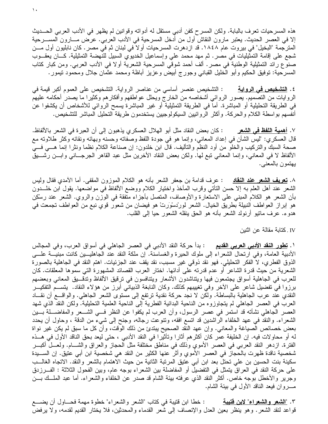هذه المسرحيات نعرف بالبابة. ولكن المسرح كفن أدبي مستقل له أدواته وقوانين لم يظهر في الأدب العربي الحـــديث إلا في العصر الحديث. يعتبر مارون النقاش أول من أدخل المسرحية في الأدب العربي. عرض مـــارون المســـرحية المترجمة "البخيل" في بيروت عام ١٨٤٨. قد ازدهرت المسرحيات أو لا في لبنان ثم في مصر . كان نابليون أول مـــن شجع على إقامة التمثيليات في مصر . ثم مهد محمد على وإسماعيل الخديوي السبيل للنهضة التمثيلية. كـــان يعقـــوب صنوع رائد التمثيلية الوطنية في مصر . ألف أحمد شوقي المسرحية الشعرية أولا في الأدب العربي. ومن كبار كتاب المسرحية: توفيق الحكيم وأبو الخليل القبانبي وجورج أبيض وعزيز أباظة ومحمد عثمان جلال ومحمود نيمور .

٤. <mark>التشخيص في الرواية</mark> : التشخيص عنصر أساسي من عناصر الرواية. التشخيص على العموم أكبر قيمة في الروايات من التصميم. يصور الروائـي أشخاصـه من الخارج ويحلل عواطفهم وأفكارهم وكثيرا ما يصدر أحكامه عليهم في الطريقة التحليلية أو المباشرة. أما في الطريقة التمثيلية أو غير المباشرة يسمح الروائي للأشخاص أن يكشفوا عن أنفسهم بواسطة الكلام والحركة. وأكثر الروائيين السيكولوجيين يستخدمون طريقة التحليل المباشر للتشخيص.

: كان بعض النقاد مثل أبو الـهلال العسكري يذهبون إلـى أن العبر ة فـي الشعر بـالألفاظ. ٧. أهمية اللفظ في الشعر قال العسكري: "ليس الشأن في إعداد المعانـي، وإنمـا هو فـي جودة اللفظ وصفاته وحسنه وبـهائه ونقائه وكثر طلاوته مـع صحة السبك والتركيب والخلو من أود النظم والتأليف. قال ابن خلدون: إن صناعة الكلام نظما ونثرا إنما هـــي فـــي الألفاظ لا في المعاني، وإنما المعاني تبع لمها. ولكن بعض النقاد الأخرين مثل عبد القاهر الجرجـــانـي وابــــن رشــــيق يهتمون بالمعنى.

٨. <mark>نـعريف الشـعر عند النـقـاد</mark> : عرف قدامـة بن جعفر الشـعر بـأنـه هو الكلام المـوزون المـقفـي. أمـا الأمدي فقال وليس الشعر عند أهل العلم به إلا حسن النأتـي وقرب المأخذ واختيار الكلام ووضـع الألفاظ فـي مواضـعـها. يقول ابن خلـــدون بأن الشعر هو الكلام المبني على الاستعارة والأوصاف، المتصل بأجزاء متفقة في الوزن والروي. الشعر عند رسْكِن هو إبراز العواطف النبيلة بطريق الخيال. الشعر لورْدسْوَرتْ هو فيضان من شعور قوي نبع من العواطف تجمعت في هدوء. عرف مانيو أرنولد الشعر بأنه هو الحق ينقله الشعور حيا إلىي القلب.

IV . كتابة مقالة عن اثنين

١. <mark>تطور النقد الأدبي العربي القديم</mark> : بدأ حركة النقد الأدبي في العصر الجاهلي في أسواق العرب، وفي المجالس الأدبية العامة، وفي ارتحال الشعراء إلى ملوك الحيرة والغساسنة. إن ملكة النقد عند الجاهليــين كانت مبنيـــة علـــي الذوق الفطري، لا الفكر التحليلي. فهو نقد ذوقي غير مسبب، نقد يقف عند الجزئيات. اهتم النقد في الجاهلية بالصورة الشعرية من حيث قدرة الشاعر أو عدم قدرته على أدائها. اختار العرب القصائد المشهورة التي سموها المعلقات. كان للعرب فـي الجاهلية أسواق يجتمعون فيها ويتناشدون الأشعار ويتنافسون فـي ترقيق الألفاظ وتدقـــيق المعانـي وبعضـهم برزوا في تفضيل شاعر على الأخر وفي تغييبهم كذلك. وكان النابغة الذبياني أبرز من هؤلاء النقاد. يتســم التفكيـــر النقدي عند عرب الجاهلية بالبساطة. ولكن لا نجد حركة نقدية ترتفع إلى مستوى الشعر الجاهلي. والواقـــع أن نقـــاد العرب في العصر الجاهلي لم يتجاوزوه من الناحية البدائية الفطرية إلى الناحية العلمية التحليلية. ولكن النقد الذي شهد العصر الجاهلي نشأته قد استمر في عصر الرسول، وأن العرب لم يكفوا عن النظر فـــي الشـــعر والمفاضــــلة بـــين الشعراء. والنقد في عهد الخلفاء الراشدين قد انسع افقه، ونتوعت رجاله، وجنح إلى شيء من الدقة ، وحاول أن يحدد بعض خصائص الصياغة والمعاني. وإن عهد النقد الصحيح يبتدئ من ذلك الوقت، وأن كل ما سبق لم يكن غير نواة له أو محاولات فيه. إن الخليفة عمر كان أكثرهم أثارا وتأثيرا في النقد الأدبي ، حتى ليعد بحق الناقد الأول في هــذه الفترة. ازدهر النقد العربي في العصر الأموي وذلك في مناطق مختلفة مثل الحجاز والعراق والشـــام. ولعـــل أكبـــر شخصية ناقدة ظهرت بالحجاز في العصر الأموي وأثر عنها الكثير من النقد هي شخصية ابن أبي عتيق. إن الســـيدة سكينة بنت الحسين بن على نحتل بعد ابن أبي عتيق المرتبة الثانية من حيث الاهتمام بالشعر والنقد. الاتجاه الغالـــب على حركة النقد في العراق يتمثّل في التفضيل أو المفاضلة بين الشعراء بوجه عام، وبين الفحول الثلاثة : الفـــرزدق وجرير والأخطل بوجه خاص. أكثر النقد الذي عرفته بيئة الشام قد صدر عن الخلفاء والشعراء. أما عبد الملــك بـــن 

: خطا ابن قتيبة في كتاب "الشعر والشعراء" خطوة مهمة فحـــاول أن يضــــع ٣. "الشعر والشعراء" لابن فتيبة قواعد لنقد الشعر . وهو ينظر بعين العدل والإنصاف إلى شعر القدماء والمحدثين، فلا يختار القديم لقدمه، ولا يرفض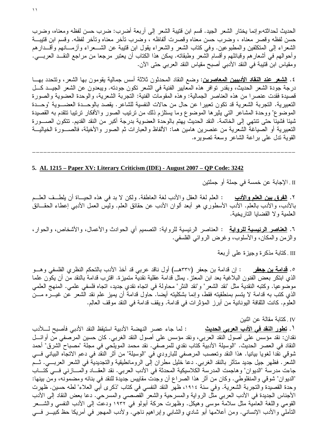الحديث لحداثته،وإنما يختار الشعر الجيد. قسم ابن قتيبة الشعر إلى أربعة أضرب: ضرب حسن لفظه ومعناه، وضرب حسن لفظه وقصر معناه ، وضرب حسن معناه وقصرت ألفاظه ، وضرب نأخر معناه وتأخر لفظه. وقسم ابن قتيبـــة الشعراء إلى المتكلفين والمطبوعين. وفي كتاب الشعر والشعراء يقول ابن قتيبة عن الشـــعراء وأزمـــانهم وأقـــدارهم وأحوالهم في أشعارهم وقبائلهم وأقسام الشعر وطبقاته. يمكن هذا الكتاب أن يعتبر مرجعا من مراجع النقــد العربـــي. ومقياس ابن قتيبة في النقد الأدبي أصبح مقياس النقد العربي حتى الآن.

٤. <u>الشعر عند النقاد الأدبيين المعاصرين</u>: وضع النقاد المحدثون ثلاثة أسس جمالية يقومون بها الشعر، وتتحدد بهـــا درجة جودة الشعر الحديث، وبقدر نوافر هذه المعايير الفنية في الشعر نكون جودنه. ويبعدون عن الشعر الجيـــد كـــل قصيدة فقدت عنصرا من هذه العناصر الجمالية: وهذه المقومات الفنية: التجربة الشعرية، والوحدة العضوية والصورة التعبيرية. التجربة الشعرية قد تكون تعبيرًا عن حال من حالات النفسية للشاعر. يقصد بالوحــدة العضــوية "وحــدة الموضوع" ووحدة المشاعر التبي يثيرها الموضوع وما يستلزم ذلك من نرتيب الصور والأفكار ترتيبا تتقدم به القصيدة شيئا فشيئا حتى تنتهي إلى الخاتمة. النقد الحديث يهتم بالوحدة العضوية بدرجة أكبر من النقد القديم. تتكون الصــــورة التعبيرية أو الصياغة الشعرية من عنصرين هامين هما: الألفاظ والعبارات ثم الصور والأخيلة، فالصـــورة الخياليـــة القوية تدل علمي براعة الشاعر وسعة تصويره.

## 5. AL 1215 – Paper XV: Literary Criticism (IDE) - August 2007 – QP Code: 3242

II . الإجابة عن خمسة في جملة أو جملتين

٢. <u>الفرق بين العلم والأدب</u> : العلم لغة العقل والأدب لغة العاطفة. ولكن لا بد في هذه الحيــاة أن يلطــف العلــم بالأدب، والأدب بالعلم. الأدب الأسطوري هو أبعد ألوان الأدب عن حقائق العلم. وليس العمل الأدبـي إعطـاء الـحقـــائق العلمية و لا القضايا النار يخية.

٦. <u>العناصر الرئيسية للرواية</u> : العناصر الرئيسية للرواية: النصميم أي الحوادث والأعمال، والأشخاص، والحوار، والزمن والمكان، والأسلوب، وغرض الروائي الفلسفي.

III .كتابة مذكرة وجيزة على أربعة

٥. <u>قدامة بن جعفر</u> : إن قدامة بن جعفر (٣٣٧هـــ) أول ناقد عربـي قد أخذ الأدب بالنحكم النظري الفلسفـي وهـــو الذي ابتكر بعض الفنون البلاغية بعد ابن المعتز . يمثل قدامة عقلية نقدية متميزة. اقترب قدامة بالنقد من أن يكون علما موضوعيا. وكتبه النقدية مثل "نقد الشعر" و"نقد النثر" محاولة في انجاه نقدي جديد، انجاه فلسفي علمي. المنهج العلمي الذي كتب به قدامة لا يتسم بمنطقيته فقط، وإنما بشكليته أيضا. حاول قدامة أن يميز علم نقد الشعر عن غيـــره مـــن العلوم. كانت الثقافة اليونانية من أبرز المؤثرات في قدامة. ويقف قدامة في النقد موقف العالِم.

IV . كتابة مقالة عن اثنين

ل . <mark>تطور النقد في الأدب العربي الحديث</mark> : لما جاء عصر النهضة الأدبية استيقظ النقد الأدبي فأصبح لــــلأدب نقدان: نقد مؤسس على أصول النقد العربي، ونقد مؤسس على أصول النقد الغربي. كان حسين المرصفي من أوائـــل النقاد في العصر الحديث. "الوسيلة الأدبية كتاب نقدي للمرصفي. نقد محمد المويلحي في مجلة "مصباح الشرق" أحمد شوقي نقدا لغويا بيانيا. هذا النقد وتعصب المرصفي للبارودي في "الوسيلة" من أثر النقد في دعم الاتجاه البياني فسي الشعر . فظهر جيل جديد متأثر بالنقد الغربي. دعا خليل مطران إلى الرومانطيقية والتجديدية في الشعر العربـــي. ثـــم جاءت مدرسة "الديوان" وهاجمت المدرسة الكلاسيكية المحدثة في الأدب العربي. نقد العقـــاد والمـــازنـي فـــي كتـــاب "الديوان" شوقي والمنفلوطي. وكان من أثر هذا الصراع أن وجدت مقاييس جديدة للنقد في بنائه ومضمونه، ومن بينها: وحدة القصيدة والتجربة الشعرية. وفي سنة ١٩١٤، ظهر النقد النفسي في كتاب "ذكرى أبي العلاء" لطه حسين. ظهرت الأجناس الجديدة في الأدب العربي مثل الرواية والمسرحية والشعر القصصبي والمسرحي. دعا بعض النقاد إلى الأدب القومي واللغة العامية مثل سلامة موسى وهيكل. وظهرت حركة أبولو في ١٩٣٢ ودعت إلى الأدب النفسي والشـــعر التأملي والأدب الإنسانـي. ومن أعلامـها أبو شادي والشابـي وإبراهيم ناجـي. ولأدب المـهجر فـي أمريكا حظ كبيـــر فـــي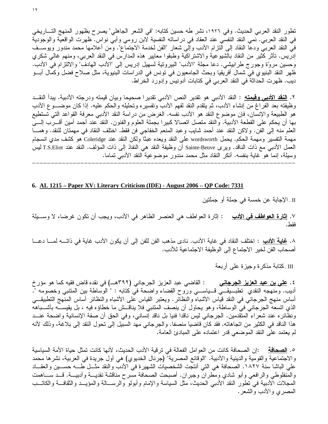تطور النقد العربي الحديث. وفي ١٩٢٦، نشر طه حسين كتابه: "في الشعر الجاهلي" يصرح بظهور المنهج التـــاريخي في النقد العربي. نمي النقد النفسي عند العقاد في در اساته النفسية لابن رومي وأبي نواس. ظهرت الواقعية والوجودية في النقد العربي ودعا النقاد إلى النزام الأدب وإلى شعار "الفن لخدمة الاجتماع". ومن أعلامها محمد مندور ويوســف إدريس. نأثر كثير من النقاد بالشيوعية والاشتراكية وطبقوا معايير هذه المدارس في النقد العربي، ومنهم غالـي شكري وحسين مروّة وجورج طرابيشي. دعا مجلّة "الأدب" البيروتية لسهيل إدريس إلى "الأدب الهادف" والالتزام في الأدب. ظهر النقد البنيوي في شمال أفريقيا وبحث الجامعيون في نونس في الدراسات البنيوية، مثل صلاح فضل وكمال أبـــو ديب. ظهرت الحداثة في النقد العربي في كتابات أدونيس وإدورد الخراط.

٢. <u>ا**لنقد الأدب***ي* **وقيمته</u> :** النقد الأدبي هو تقدير النص الأدبي تقدير ا صحيحا وبيان قيمته ودرجته الأدبية. يبدأ النقــد</u> وظيفته بعد الفراغ من إنشاء الأدب، ثم يتقدم النقد لفهم الأدب وتفسيره وتحليله والحكم عليه. إذا كان موضـــوع الأدب هو الطبيعة والإنسان، فإن موضوع النقد هو الأدب نفسه. الغرض من دراسة النقد الأدبـي معرفة القواعد التـي تستطيع بها أن يحكم على القطعة الأدبية. والنقد متصل اتصالا كبيرًا بجملة العلوم والفنون. النقد عند أحمد أمين أقــــرب إلــــي العلم منه إلى الفن. ولاكن النقد عند أحمد شايب وعبد المنعم الخفاجي فن فقط. اختلف النقاد في مهمتان للنقد. وهمـــا مهمة التفسير ومهمة الحكم. يحمل wordsworth على النقد ويعده عبثًا ولكن النقد عند Coleridge هو كشف مدي انسجام العمل الأدبـي مـع ذات النـاقد. ويرى Sainte-Beuve أن وظيفة النقد هـي النفاذ إلـي ذات المؤلف. النقد عند T.S.Eliot ليس وسيلة، إنما هو غاية بنفسه. أنكر النقاد مثل محمد مندور موضوعية النقد الأدبي تماما.

nnnnnnnnnnnnnnnnnnnnnnnnnnnnnnnnnnnnnnnnnnnnnnnnnnnnnnnnnnnnnnnnnnnnnnn

## **6. AL 1215 – Paper XV: Literary Criticism (IDE) - August 2006 – QP Code: 7331**

II . الإجابة عن خمسة في جملة أو جملتين

<u>دب</u> : إثارة العواطف هي العنصر الظاهر في الأدب، ويجب أن تكون غرضنا، لا وســـيلة ٧. إ<u>ِثارة العواطف في الأ</u> فقط .

٨. <u>غاية الأدب</u> : اختلف النقاد في غاية الأدب. نادى مذهب الفن للفن إلى أن يكون الأدب غاية في ذاتــــه لمــــا دعـــا أصحاب الفن لخير الاجتماع إلى الوظيفة الاجتماعية للأدب.

III .كتابة مذكرة وجيزة على أربعة

٤ . <mark>علي بن عبد العزيز الجرجاني</mark> : القاضي عبد العزيز الجرجاني (٣٩٢هــ) في نقده قاض فقيه كما هو مؤرخ أديب. ومنهجه النقدي نطبـــيقـــي قـــياســــي وروح القضـاء واضـحة فـي كتابه : " الوساطـة بين المتنبـي وخصومه ". أساس منهج الجرجانـي فـي النقد قياس الأشباه والنظائر . ويعتبر القياس علـي الأشباه والنظائر أساس المنـهج التطبيقـــي الذي اتسعه الجرجاني في الوساطة، وهو يحاول أن ينصف المتنبي فلا يناقــش ما خطاؤه فيه ، بل يقيســــه بأشــــباهه ونظائر ه عند شعر اء المتقدمين. الجرجاني ليس ناقدا فنيا بل ناقد إنساني، وفي الحق أن صفة الإنسانية واضحة عنـــد هذا الناقد في الكثير من اتجاهاته. فقد كان قاضيا منصفا. والجرجاني مهد السبيل إلى تحول النقد إلى بلاغة، وذلك لأنه لم يعتمد على النقد الموضعي قدر اعتماده على المبادئ العامة.<br>لم يعتمد على النقد الموضعي قدر اعتماده على المبادئ العامة. Ì.

0. <u>ا**لصحافة** :</u>إن الصحافة كانت من العوامل الفعالة في ترقية الأدب الحديث، لأنها كانت تمثل حياة الأمة السياسية والاجتماعية والقومية والدينية والأدبية. "الوقائع المصرية" (جرنال الخديوي) هي أول جريدة في العربية، نشرها محمد علي الباشا سنة ١٨٢٧. الصحافة هي التي أنتجت الشخصيات الشهيرة في الأدب والنقد مثـــل طــــه حســـين والعقــــاد والمنفلوطي والرافعي وأبو شادي ومطران وجبران. أصبحت الصحافة مسرح مناقشة نقديـــة وأدبيـــة. قـــد ســــاهمت المجلات الأدبية في تطور النقد الأدبـي الـحديث، مثل السياسة والإمام وأبولو والرســـالـة والمؤيـــد والثقافـــة والكاتـــب المصري والأدب والشعر .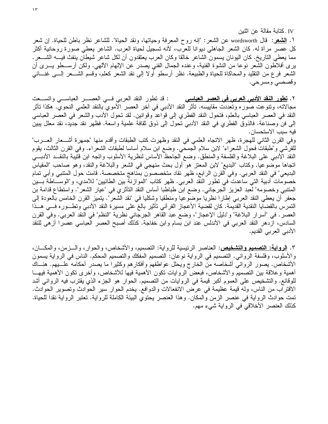IV . كتابة مقالة عن اثنين

١. <u>الشعر</u>: قال wordsworth عن الشعر: "إنه روح المعرفة وحياتها، ونقد الحياة". للشاعر نظر باطن للحياة. إن شعر كل عصر مراة له. كان الشعر الجاهلي ديوانا للعرب، لأنه تسجيل لحياة العرب. الشاعر يعطي صورة روحانية أكثر مما يعطي الناريخ. كان اليونان يسمون الشاعر خالقا وكان العرب يعتقدون أن لكل شاعر شيطان ينفث فيــــه الشــــعر . برى أفلاطون الشعر نوعا من النشوة الفنية، وعنده الجمال الفني يصدر عن الإلهام الألهي. ولكن أرســـطو يـــرى أن الشعر فرع من التقليد والمحاكاة للحياة والطبيعة. نظر أرسطو أولا إلى نقد الشعر كعلم، وقسم الشـــعر إلــــي غنـــائـي وقصصبي ومسرحي.

: قد تطور النقد العربي فسي العصــــــر العباســـــي واتســــعت ٢. <u>تطور النقد الأدبي العربي في العصر العباسي</u> مجالاته، ونتوعت صور هوتعددت مقاييسه. تأثَّر النقد الأدبي في أخر العصر الأموي بالنقد العلمي النحوي. هكذا تأثَّر النقد في العصر العباسي بالعلم، فتحول النقد الفطري إلى قواعد وقوانين. لقد تحول الأدب والشعر في العصر العباسي إلى فن وصناعة. فالذوق الفطري في النقد الأدبي نحول إلى ذوق ثقافة علمية واسعة. فظهر نقد جديد، نقد معلل يبين فيه سبب الاستحسان.

وفي القرن الثاني للهجرة، ظهر الاتجاه العلمي في النقد وظهرت كتب الطبقات وأقدم منها "جمهرة أشـــعار العــــرب" للقرشي و"طبقات فحول الشعراء" لابن سلام الجمحي. وضـع ابن سلام أساسا لطبقات الشعراء. وفـي القرن الثالث، يقوم النقد الأدبـي علـى البلاغة والفلسفة والمنطق. وضـع الـجاحظ الأساس لنظرية الأسلوب واتـجه ابن قتيبة بالنقــد الأدبـــي اتجاها موضوعيا. وكتاب "البديع" لابن المعتز هو أول بحث منهجي في الشعر والبلاغة والنقد، وهو صاحب "المقياس البديعي" في النقد العربي. وفي القرن الرابع، ظهر نقاد متخصصون بمناهج متخصصة. قامت حول المتنبي وأبي تمام خصومات أدبية التي ساعدت في تطور النقد العربي. ظهر كتاب "الموازنة بين الطائيين" للأمدي، و"الوســـاطة بـــين المتنبي وخصومه" لعبد العزيز الـجرجانـي. وضع ابن طباطبا أساس النقد التأثري فـي "عيار الشعر". واستطاع قدامة بن جعفر أن يعطي النقد العربي إطارًا نظريًا موضوعيًا ومنطقيًا وشكليًا في "نقد الشعر". يتميز القرن الخامس بالعودة إلى التمرس بالقضايا النقدية القديمة. كان لقضية الأعجاز القرأني تأثير بالغ على مسيرة النقد الأدبى وتطـوره فـــي هــذا العصر . في "أسرار البلاغة" و"دليل الإعجاز"، وضع عبد القاهر الجرجاني نظرية "النظم" في النقد العربي. وفي القرن السادس، ازدهر النقد العربي في الأندلس عند ابن بسام وابن خفاجة. كذلك أصبح العصر العباسي عصرا أزهي للنقد الأدبي العربي القديم.

٣. <u>الرواية: التصميم والتشخيص</u>: العناصر الرئيسية للرواية: التصميم، والأشخاص، والحوار ، والـــزمن، والمكـــان، والأسلوب، وفلسفة الروائـي. التصميم فـي الرواية نوعان: التصميم المفكك والتصميم المحكم. الناس فـي الرواية يسمون الأشخاص. يصور الروائي أشخاصه من الخارج ويحلل عواطفهم وأفكارهم وكثيرا ما يصدر أحكامه علــــبهم. هنـــاك أهمية وعلاقة بين التصميم والأشخاص، فبعض الروايات نكون الأهمية فيها للأشخاص، وأخرى نكون الأهمية فيهــا للوقائع. والتشخيص على العموم أكبر قيمة في الروايات من التصميم. الحوار هو الجزء الذي يقترب فيه الروائـي أشد الاقتراب من الناس، وله قيمة عظيمة في عرض الانفعالات والدوافع. يخدم الحوار سير الحوادث وتصوير الحوادث. تمت حوادث الرواية في عنصر الزمن والمكان. وهذا العنصر يحتوي البيئة الكاملة للرواية. تعتبر الرواية نقدا للحياة. كذلك العنصر الأخلاقي في الرواية شيء مهم.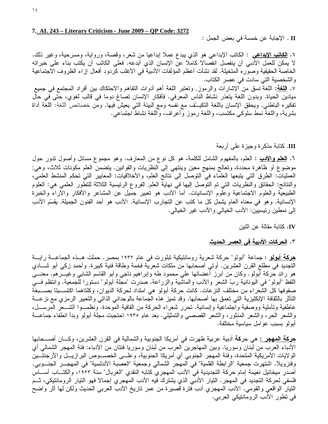II . الإجابة عن خمسة في بعض الجمل :

٦. <u>ا**لكاتب الإبداعي** :</u> الكاتب الإبداع<sub>ى</sub> هو الذي يبدع عملا إبداعيا من شعر ، وقصة، ورواية، ومسرحية، وغير ذلك. لا يمكن للعمل الأدبي أن ينفصل انفصالا كاملا عن الإنسان الذي أبدعه. فعلى الكاتب أن يكتب بناء على خبراته الخاصة الحقيقية وصوره المتخيلة. لقد نشأت أعظم المؤلفات الأدبية في الأغلب كردود أفعال إزاء الظروف الاجتماعية والشخصية التي سادت في عصر الكتاب.

٧. ا<u>للغة</u>: اللغة نسق من الإشارات والرموز. ونعتبر اللغة أهم أدوات النفاهم والاحتكاك بين أفراد المجتمع في جميع ميادين الحياة. وبدون اللغة يتعذر نشاط الناس المعرفي. فأفكار الإنسان نصاغ دوما في قالب لغوي، حتى في حال تفكيره الباطني. ويحقق الإنسان باللغة النكيَّ مع نفسه ومع البيئة التي يعيش فيها. ومن خصائص اللغة: اللغة أداة بشرية، واللغة نمط سلوكي مكتسب، واللغة رموز وأعراف، واللغة نشاط اجتماعي.

## III. كَتَابَةٌ مَذْكَرَةٌ وَجَيْزَةٌ عَلَى أَرْبَعَةٌ.

٦. ا<mark>لـعلم والأدب</mark> : الـعلم، بالمفهوم الشامل للكلمة، هو كل نوع من المعارف. وهو مجموع مسائل وأصول تدور حول موضوع أو ظاهرة محددة، وتعالج بمنهج معين وينتهي إلى النظريات والقوانين. يتضمن العلم مكونات ثلاث، وهي: العمليات: الطرق التي يتبعها العلماء في التوصل إلى نتائج العلم، والأخلاقيات: المعايير التي تحكم المنشط العلمي، والنتائج: الحقائق والنظريات التي تم التوصل إليها في نهاية العلم. الفروع الرئيسية الثلاثة للتطور العلمي هي: العلوم الطبيعية والعلوم الاجتماعية وعلوم الإنسانيات. أما الأدب هو تعبير جميل عن المشاعر والأفكار والأراء والخبرة الإنسانية. وهو في معناه العام يشمل كل ما كتب عن التجارب الإنسانية. الأدب هو أحد الفنون الجميلة. يقسّم الأدب إلى نمطين رئيسيين: الأدب الخيالي والأدب غير الخيالي.

IV. كتابة مقالة عن اثنين

## ٣. <u>الحركات الأدبية في العصر الحديث</u>

<mark>هركة أبولو</mark> : جماعة "أبولو" حركة شعرية رومانتيكية تبلورت في عام ١٩٣٢ بمصر . حملت هــذه الجماعـــة رايـــة النجديد في مطلع القرن العشرين. أوتي أصحابها من ملكات شعرية فخمة وطاقة فنية كبيرة. وأحمد زكي أبو شـــادي هو رائد حركة أبولو. وكان من أبرز أعضائها على محمود طه وإبراهيم ناجي وأبو القاسم الشابي وغيـــرهم. معنــــي اللُّفظ "أبولو" في اليونانية ربّ الشعر والأدب والماشية والزراعة. صدرت "مجلَّة أبولو" دستورا للجمعية. وانتظم فسي صفوفها كل الشعراء من مختلف النزعات. كانت حركة أبولو هي امتداد لحركة الديوان، وكلتاهما اكتســبتا بصـــبغة التأثر بالثقافة الإنكليزية التي تعمق بها أصحابها. وقد تميز هذه الجماعة بالوجداني الذاتي والتعبير الرمزي مع نزعــة عاطفية وتأملية ووصفية واجتماعية وإنسانية. تحرر شعراء الحركة من القافية الموحدة. ونظمـــوا الشـــعر المرســـل، والشعر الحر، والشعر المنثور، والشعر القصصبي والتمثيلي. بعد عام ١٩٣٥ احتجبت مجلة أبولو وبدأ انطفاء جماعـــة أبولو بسبب عوامل سياسية مختلفة.

<mark>هركة المهجر :</mark> هي حركة أدبية عربية ظهرت في أمريكا الجنوبية والشمالية في القرن العشرين، وكـــان أصــــحابها الأدباء العرب من لبنان وسوريا. وبين المهاجرين العرب من لبنان وسوريا فئتان من الأدباء: فئة المهجر الشمالي أي الولايات الأمريكية المتحدة، وفئة المهجر الجنوبي أي أمريكا الجنوبية، وعلـــي الخصــــوص البر ازيــــل والأرجنتـــين وفنزويلا. اشتهرت جمعية "الرابطة القلمية" في المهجر الشمالي وجمعية "العصبة الأندلسية" في المهجـــر الجنـــوبي. أصدر ميخائيل نعيمة إمام حركة التجديدية في الأدب المهجري كتابه النقدي "الغربال" سنة ١٩٢٣، والكتـــاب أســــاس فلسفي لحركة التجديد في المهجر . التيار الأدبي الذي يشترك فيه الأدب المهجري إجمالا فهو التيار الرومانتيكي، ثــم النيار الواقعي والقومي. الأدب المهجري أدب فترة قصيرة من عمر تاريخ الأدب العربي الحديث ولكن لها أثر واضح في تطور الأدب الرومانتيكي العربي.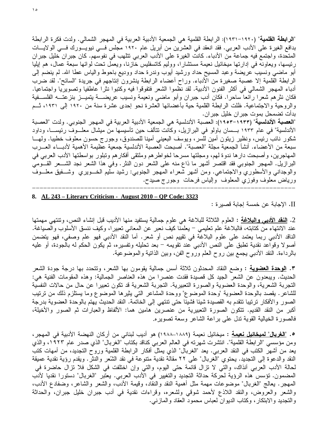"الرابطة القلمية" (١٩٢٠–١٩٣١): الرابطة القلمية هي الجمعية الأدبية العربية في المهجر الشمالي. ولدت فكرة الرابطة بدافع الغيرة على الأدب العربي. فقد انعقد في العشرين من أبريل عام ١٩٢٠ مجلس فـــي نيويـــورك فـــي الولايـــات المتحدة، واجتمع فيه جماعة من الأدباء. كانت الغيرة على الأدب العربي تتلهب في نفوسهم. كان جبران خليل جبران رئيسها، ويعاونه في إدارتها ميخائيل نعيمة مستشارًا، ووليم كاتسفليس خازنا، ويعمل نحت لوائها سبعة عمال، هم إيليا أبو ماضيي ونسيب عريضة وعبد المسيح حداد ورشيد أيوب وندرة حداد ووديع باحوط والياس عطا الله. لم ينضم إلى الرابطة القلمية إلا عصبة صغيرة من الأدباء. وراح أعضاء الرابطة ينشرون إنتاجهم في جريدة "السائح". لقد ضرب أدباء المهجر الشمالي في أكثر الفنون الأدبية. لقد نظموا الشعر فتفوقوا فيه وكتبوا نثرا عاطفيا وتصويريا واجتماعيا. فكان نثرهم شعرا رائعا ساحرا. فكان أدب جبران وأبو ماضيي ونعيمة ونسيب عريضــــة يتميـــز بنزعتـــه الفلســـفية والروحية والاجتماعية. ظلت الرابطة القلمية حية بأعضائها العشرة نحو إحدى عشرة سنة من ١٩٢٠ إلى ١٩٣١، ثــم بدأت تضمحل بموت جبر ان خليل جبر ان.

"ا**لعصبة الأندلسية**" (١٩٣٣–١٩٥٣): العصبة الأندلسية هي الجمعية الأدبية العربية في المهجر الجنوبي. ولدت "العصبة الأندلسية" في عام ١٩٣٣ بـــسان باولو في البر ازيل، وكانت تتألف حين تأسيسها من ميشال معلـــوف رئيســــا، وداود شكور نائب رئيس، ونظير زيتون أمين للسر، ويوسف البعيني أمينا للصندوق، وجورج حسون معلوف خطيبا. ولهـــا سبعة من الأعضاء. أنشأ الجمعية مجلة "العصبة". أصبحت العصبة الأندلسية جمعية عظيمة الأهمية لأدبـــاء العـــرب المهاجرين، وأصبحت دار ها ندوة لهم، ومجلتها مسرحا لخواطرهم وملتقى أفكارهم وتبلور بواسطتها الأدب العربي في البرازيل. المهجر الجنوبي فقد اقتصر أشهر ما ذاع منه على الشعر دون النثر . وفي هذا الشعر نجد الشـــعر القـــومي والوجدانبي والأسطوري والاجتماعي. ومن أشهر شعراء المهجر الجنوبي: رشيد سليم الخـــويري ۖ وشـــفيق معلـــوف ورياض معلوف وفوزي المعلوف وإلياس فرحات وجورج صيدح.

## 8. AL 243 – Literary Criticism - August 2010 – QP Code: 3323

II. الإجابة عن خمسة إجابة قصبر ة :

2. <u>النقد الأدبـي والمبلاغة</u> : الـعلوم الثلاثـة للبـلاغـة هـي علوم جماليـة يستفيد منـها الأديب قبل إنشاء النص، وتنتهي مـهمتها عند الانتهاء من كتابته، فالبلاغة علم تعليمي – يعلمنا كيف نعبر عن المعاني تعبيرا، وكيف ننسق الأسلوب والصياغة. الناقد الأدبـي ربما يعتمد علـي علوم البلاغة فـي تقييم نص أو شعر . أما النقد الأدبـي فـهو علم وصفـي، فـهو يتضمن أصولا وقواعد نقدية تطبق على النص الأدبـي عند تقويمه – بعد تحليله وتفسيره، ثم يكون الحكم له بالـجودة، أو عليه بالرداءة. النقد الأدببي يجمع بين روح العلم وروح الفن، وبين الذانية والموضوعية.

٣. <u>الوحدة العضوية</u> : وضع النقاد المحدثون ثلاثة أسس جمالية يقومون بها الشعر، وتتحدد بها درجة جودة الشعر الحديث. ويبعدون عن الشعر الجيد كل قصيدة فقدت عنصرا من هذه العناصر الجمالية: وهذه المقومات الفنية هي: النجربة الشعرية، والوحدة العضوية والصورة النعبيرية. النجربة الشعرية قد نكون نعبيرا عن حال من حالات النفسية للشاعر . يقصد بالوحدة العضوية "وحدة الموضوع" ووحدة المشاعر التـي يثيرها الموضوع وما يستلزم ذلك من نرتيب الصور والأفكار ترتيبا تتقدم به القصيدة شيئا فشيئا حتى تنتهي إلى الخاتمة. النقد الحديث يهتم بالوحدة العضوية بدرجة أكبر من النقد القديم. نتكون الصورة التعبيرية من عنصرين هامين هما: الألفاظ والعبارات ثم الصور والأخيلة، فالصورة الخيالية القوية ندل على براعة الشاعر وسعة تصويره.

**0.** "<mark>الغريال" لميخائيل نـعيمـة</mark> : ميخائيل نـعيمـة (١٨٨٩–١٩٨٨) هو أديب لبناني من أركان النـهضـة الأدبيـة في المـهجر ، ومن مؤسسي "الرابطة القلمية". انتشرت شهرته في العالم العربي كناقد بكتاب "الغربال" الذي صدر عام ١٩٢٣، والذي يعد من أشهر الكتب في النقد العربي. يعد "الغربال" الذي يمثل أفكار الرابطة القلمية وروح التجديد، من أمهات كتب النقد والدعوة إلى التجديد. يحتوي "الغربال" على ٢٢ مقالة نقدية متنوعة في نقد الشّعر والنثر . ويقدم رؤية نقدية عميقة لحالة الأدب العربي أنذاك، والتي لا نزال قائمة حتى اليوم، والتي وإن اختلفت في الشكل فلا نزال حاضرة في المضمون. تؤسس هذه الرؤية لحركة حداثة التجديد والتغيير في الأدب العربي. يعتبر "الغربال" دستورا نقديا لأدب المهجر. يعالج "الغربال" موضوعات مهمة مثل أهمية النقد والنقاد، وقيمة الأدب، والشعر والشاعر، وضفادع الأدب، والشعر والعروض، والنقد اللاذع لأحمد شوقي ولشعره، وقراءات نقدية في أدب جبران خليل جبران، والحداثة والتجديد والابتكار، وكتاب الديوان لعباس محمود العقاد والمازنبي.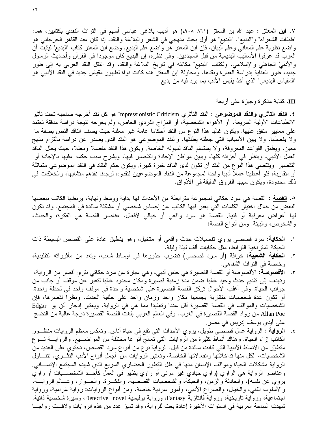٧. <mark>ابن المعتز</mark> : عبد الله بن المعتز (٨٦١-٩٠٨م) هو أديب بلاغي عباسي أسهم في التراث النقدي بكتابين، هما: "طبقات الشعراء" و"البديع". "البديع" هو أول بحث منهجي في الشعر والبلاغة والنقد. إذا كان عبد القاهر الجرجانبي هو واضع نظرية علم المعاني وعلم البيان، فإن ابن المعتز هو واضع علم البديع. وضع ابن المعتز كتاب "البديع" ليثبت أن العرب قد عرفوا الأساليب البديعية من قبل المجددين. وفي نظره، إن البديع كان موجودا في القرآن وأحاديث الرسول والأدبَيْ الجاهلي والإسلامي. ولكتاب "البديع" مكانته في تاريخ البلاغة والنقد، وقد انتقل النقد العربي به إلى طور جديد، طور العناية بدراسة العبارة ونقدها. ومحاولة ابن المعتز هذه كانت نواة لظهور مقياس جديد في النقد الأدببي هو "المقياس البديعي" الذي أخذ يقيس الأدب بما يرد فيه من بديع.

## III. كَتَابَةٌ مَذْكَرَةٌ وَجَيْزَةٌ عَلَى أَرْبَعَةٌ.

**٤. <u>النقد التأثري والنقد الموضوعي</u> :** النقد التأثري Impressionistic Criticism هو كل نقد أخرجه صاحبه تحت تأثير الانطباعات الأولية السريعة، أو الأهواء الشخصية، أو المزاج الفردي الخاص، ولم يخرجه نتيجة دراسة مدققة تعتمد على معايير متفق عليها. ويكون غالبا هذا النوع من النقد أحكاما عامة غير معللة حيث يصف الناقد النص بصفة ما ولا يفصلها، ولا يبين الأسباب التي جعلته يطلقها. والنقد الموضوعي هو النقد الذي يصدر عن دراسة بالنزام منهج معين، ويطبق القواعد المعروفة، ولا يستسلم الناقد لمبوله الخاصة. ويكون هذا النقد مفصلا ومعللا، حيث يحلل الناقد العمل الأدبـي، وينظر فـي أجزائه كلـها، ويبين مواطن الإجادة والتقصير فيها، ويشرح سبب حكمه عليها بالإجادة أو التقصير . ويقتضي هذا النو ع من النقد أن تكون لدى الناقد خبر ة كبير ة. ويكون حكم النقاد في النقد الموضوعي متماثلة أو متقاربة، فلو أعطينا عملا أدبيا واحدا لمجموعة من النقاد الموضوعيين فنقدوه، لوجدنا نقدهم متشابها، والخلافات في ذلك محدودة، ويكون سببها الفروق الدقيقة في الأذواق.

٥. <u>القصة</u> : القصة هي سرد حكائ<sub>ى</sub> لمجموعة مترابطة من الأحداث لها بداية ووسط ونهاية، بربطها الكاتب ببعضها البعض من خلال اختيار الكلمات التي يعبر فيها الكاتب عن إحساس شخصي أو مشكلة سائدة في المجتمع. وقد تكون لها أغراض معرفية أو فنية. القصة هو سرد واقعي أو خيالي لأفعال. عناصر القصة هي الفكرة، والحدث، والشخوص، والبيئة. ومن أنواع القصة:

- ١. ا**لحكاية:** سرد قصصـي يروي تفصيلات حدث واقعي أو متخيل، وهو ينطبق عادة علـي القصص البسيطة ذات الحبكة المنز اخية النز ابط، مثل حكايات ألف ليلة وليلة.
- ٢. ا**لحكاية الشعبية:** خرافة (أو سرد قصصـي) نضرب جذورها في أوساط شعب، ونعد من مأثوراته التقليدية، وخاصة في النراث الشفاهي.
- ٣. الأقصوصة: الأقصوصة أو القصة القصيرة هي جنس أدبي، و هي عبارة عن سرد حكائي نثري أقصر من الرواية، وتهدف إلى تقديم حدث وحيد غالبا ضمن مدة زمنية قصيرة ومكان محدود غالبا لتعبر عن موقف أو جانب من جوانب الحياة. وفي أغلب الأحوال تركز القصة القصيرة على شخصية واحدة في موقف واحد في لحظة واحدة. أو نكون عدة شخصيات متقاربة يجمعها مكان واحد وزمان واحد على خلفية الحدث. ونظرا لقصرها، فإن الشخصيات والمواقف في القصة القصيرة أقل عددا وتعقيدا مما هي في الرواية. ويعتبر إدجار ألن بو Edgar Allan Poe من رواد القصة القصيرة في الغرب. وفي العالم العربي بلغت القصة القصيرة درجة عالية من النضج على أيدي يوسف إدريس في مصر .
- ٤. ا**لرواية** : الرواية عمل قصصي طويل، بروي الأحداث التي نقع في حياة أناس. ونعكس معظم الروايات منظـــور الكاتب إزاء الحياة. وهناك أنماط كثيرة من الروايات التبي تعالج أنواعا مختلفة من المواضــــيع. والروايــــة نـــوع منطوَّر من الأنماط الأدبية التي كانت سائدة من قبل. الرواية نوع من أنواع سرد القصص، تحتوي على العديد من الشخصيات، لكل منها تداخلاتها وانفعالاتها الخاصة، وتعتبر الروايات من أجمل أنواع الأدب النثـــري. تتنــــاول الرواية مشكلات الحياة ومواقف الإنسان منها في ظل التطور الحضاري السريع الذي شهده المجتمع الإنســـاني. وعناصر الرواية هي الراوي (راوي حيادي غير مرئي أو راوي يظهر في العمل كأحــد الشخصـــيّات أو راوي يروي عن نفسه)، والحادثة والزمن، والحبكة، والشخصيات القصصية، والفكـــرة، والحـــوار، وعـــالم الروايـــة، والأسلوب الفني، والخيال، والصراع الأدبي، وأمور سردية خاصة. ومن أنواع الروايات: رواية غرامية، ورواية اجتماعية، ورواية تاريخية، ورواية فانتازية Fantasy، ورواية بوليسية Detective novel، وسيرة شخصية ذاتية. شهدت الساحة العربية في السنوات الأخيرة إعادة بعث للرواية، وقد تميز عدد من هذه الروايات ولاقـــت رواجـــا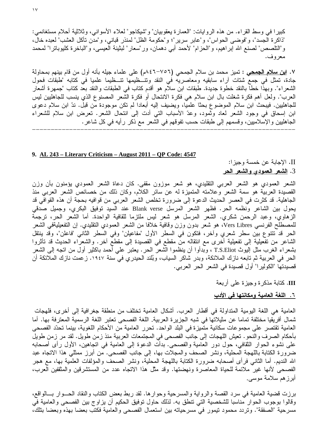كبير ا في وسط القراء. من هذه الروايات: "العمارة يعقوبيان" و"شيكاجو" لعلاء الأسواني، وثلاثية أحلام مستغانمي: "ذاكرة الجسد"، و"فوضـي الحواس"، و"عابر سرير"؛ و"حكومة الظل" لمنذر قبانـي، و"مدن تأكل العشب" لعبده خال، و"التلصص" لصنع الله إبراهيم، و"الحزام" لأحمد أبي دهمان، ور"سعار" لبثينة العيسى، و"الباخرة كليوباترا" لمحمد معروف.

V. ا<u>بن سلام الجمحي</u> : تميز محمد بن سلام الجمحي (٧٥٦–٨٤٦م) على علماء جيله بأنه أول من قام بينهم بمحاولة جادة، تمثّل في جمع شتات أراء سابقيه ومعاصريه في النقد وتتـــظيمها تتـــظيما علميا في كتابه "طبقات فحول الشعراء". وبهذا خطا بالنقد خطوة جديدة. طبقات ابن سلام هو أقدم كتاب في الطبقات والنقد بعد كتاب "جمهرة أشعار العرب". ولعل أهم فكرة شغلت بال ابن سلام هي فكرة الانتحال أو فكرة الشعر المصنوع الذي ينسب للجاهليين ليس للجاهليين. فيبحث ابن سلام الموضوع بحثًا علميًا، ويضيف إليه أبعادًا لم تكن موجودة من قبل. ندّ ابن سلام دعوى ابن إسحاق في وجود الشعر لعاد وثمود، وعدّ الأسباب التي أدت إلى انتحال الشعر. تعرض ابن سلام للشعراء الجاهليين والإسلاميين، وقسمهم إلى طبقات حسب تفوقهم في الشعر مع ذكر رأيه في كل شاعر . nnnnnnnnnnnnnnnnnnnnnnnnnnnnnnnnnnnnnnnnnnnnnnnnnnnnnnnnnnnnnnnnnnnnnnn

#### **9. AL 243 – Literary Criticism – August 2011 – QP Code: 4547**

II. الإجابة عن خمسة وجيزا: 3. <u>الشعر العمودي والشعر الحر</u>

الشعر العمودي هو الشعر العربي التقليدي، هو شعر موزون مقفى. كان دعاة الشعر العمودي يؤمنون بأن وزن القصيدة العربية هو سمة الشعر وعلامته المتميزة له عن سائر الكلام، وكان ذلك من خصائص الشعر العربي منذ الجاهلية. قد كثرت في العصر الحديث الدعوة إلى ضرورة تخلص الشعر العربي من قوافيه بحجة أن هذه القوافي قد يحول بين الشاعر ونظمه الحر. فظهر الشعر المرسل Blank verse عند السيد توفيق البكري، وجميل صدقي الزهاوي، وعبد الرحمن شكري. الشعر المرسل هو شعر ليس ملتزما للقافية الواحدة. أما الشعر الحر، ترجمة للمصطلح الفرنسي Vers Libres، هو شعر بدون وزن وقافية خلافا من الشعر العمودي النقليدي. إن التفعيليةفي الشعر الحر قد نتتوع بين سطر شعري وأخر، فتكون في السطر الأول "مفاعيلن" وفي السطر الثاني "فاعلن"، وقد ينتقل الشاعر من تفعيلية إلى تفعيلية أخرى مع انتقاله من مقطع في القصيدة إلى مقطع أخر . والشعراء الحديث قد تأثروا بشعرًاء الغرب مثل اليوث T.S.Eliot ، وبدأوا أن ينظموا الشعر الحر . يعتبر علي أحمد باكثير أول من اتجه إلى الشعر الحر في العربية ثم تابعه نازك الملائكة، وبدر شاكر السياب، وبُلند الحيدري في سنة ١٩٤٧. زعمت نازك الملائكة أن قصيدتها "الكولير ا" أول قصيدة في الشعر الحر العربي.

III. كتابة مذكرة وجيزة عل<sub>ّى</sub> أربعة

## <u>٦. اللغة العامية ومكانتها في الأدب</u>

العامية هي اللغة اليومية المتداولة في أقطار العرب. أشكال العامية تختلف من منطقة جغرافية إلى أخرى، فلهجات شمال أفريقيا مختلفة تماما عن مثيلاتها في شبه الجزيرة العربية. اللغة الفصحى تعتبر اللغة الرسمية المعترفة بها. أما العامية نقتصر على مجموعات سكانية متميزة في البلد الواحد. تحرر العامية من الأحكام اللغوية، بينما تحدّد الفصحى بأحكام الصرف والنحو . تعيش اللهجات إلى جانب الفصحي في المجتمعات العربية منذ زمن طويل. لقد مر زمن طويل علـى نشوء الـحوار الثقافي، حول دور الـعامية والفصـحـى. بدأت الدعوة إلـى الـعامية فـي اتـجاهين، الأول رأى أصـحابه ضرورة الكتابة باللهجة المحلية، ونشر الصحف والمجلات بها، إلى جانب الفصحى. من أبرز ممثلي هذا الاتجاه عبد الله النديم. أما الثاني فرأى أصحابه ضرورة الكتابة باللهجة المحلية، ونشر الصحف والمؤلفات العلمية بها، مع هجر الفصحي لأنها غير ملائمة للحياة المعاصرة ونهضتها. وقد مثَّل هذا الاتجاه عدد من المستشرقين والمثقفين العرب، أبرز هم سلامة موسى.

برزت قضية العامية في سرد القصة والرواية والمسرحية وحوارها. لقد ربط بعض الكتاب والنقاد الحـــوار بـــالواقع، وقالوا بوجوب الحوار مناسبا للشخصية التي تنطق به. لذلك حاول توفيق الحكيم أن يزاوج بين الفصحى والعامية في مسرحية "الصفقة". وتردد محمود تيمور في مسرحياته بين استعمال الفصحى والعامية فكتب بعضا بهذه وبعضا بتلك،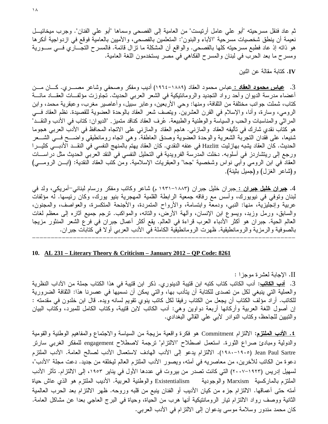$\lambda$ 

ثم عاد فنقل مسرحيته "أبو على عامل أرتيست" من العامية إلى الفصحى وسماها "أبو على الفنان". وجرب ميخائيــل نعيمة أن ينطق شخصيات مسرحية "الأباء والبنون": المتعلمين بالفصحى، والأميين بالعامية فوقع في ازدواجية أنكرها هو ذاته إذ عاد فطبع مسرحيته كلها بالفصحى. والواقع أن المشكلة ما نزال قائمة. فالمسرح التجـــاري فـــي ســـورية ومسرح ما بعد الحرب في لبنان والمسرح الفكاهي في مصر يستخدمون اللغة العامية.

IV. كتابة مقالة عن اثنين

3. <mark>عباس محمود العقاد :</mark> عباس محمود العقاد (١٨٨٩–١٩٦٤) أديب ومفكر وصحفي وشاعر مصــــري. كــــان مـــن أعضاء مدرسة الديوان وأحد رواد التجديد والرومانتيكية في الشعر العربي الحديث. تجاوزت مؤلفــات العقـــاد مائــــة كتاب، شملت جوانب مختلفة من الثقافة، ومنها: وحي الأربعين، وعابر سبيل، وأعاصير مغرب، وعبقرية محمد، وابن الرومي، وسارة، وأنا، والإسلام في القرن العشرين. ويتصف شعر العقاد بالوحدة العضوية للقصيدة. نظم العقاد فـــي المراثي والمناسبات والحب والسياسة والوطنية والطبيعة. عُرف العقاد كناقد متميز . "الديوان: كتاب في الأدب والنقــد" هو كتاب نقدي شارك في تأليفه العقاد والمازنبي. هاجم العقاد والمازنبي علي الانجاه المحافظ في الأدب العربي هجوما شنيعا، على فقدان النجربة الشعرية والوحدة العضوية وصدق العاطفة. وهي اتجاه رومانطيقي واضـــح فـــي الشـــعر الحديث. كان العقاد يشبه بهازليت Hazlitt في عنفه النقدي. كان العقاد يهتم بالمنهج النفسي في النقـــد الأدبـــي كثيـــرا ورجع إلى ريتشاردز في أسلوبه. دخلت المدرسة الفرويدية في التحليل النفسي في النقد العربي الحديث مثل دراســــات العقاد في ابن الرومي وأبي نواس وشخصية "جحا" والعبقريات الإسلامية. ومن كتب العقاد النقدية: (ابـــن الرومــــي) و(شاعر الغزل) و(جميل بثينة).

4. <u>جيران خليل جيران : ج</u>بران خليل جبران (١٨٨٣–١٩٣١ م) شاعر وكاتب ومفكر ورسام لبناني–أمريكي، ولد في لبنان وتوفي في نيويورك، وأسس مع رفاقه جمعية الرابطة القلمية المهجرية بنيو يورك، وكان رئيسها. له مؤلفات عربية وإنجليزية، منها: النبي، ودمعة وابتسامة، والأرواح المتمردة، والأجنحة المتكسرة، والعواصف، والمجنون، والسابق، ورمل وزبد، ويسوع ابن الإنسان، وألَّهة الأرض، والتائه، والمواكب. نرجم جميع أثاره إلى معظم لغات العالم الحية. جبران هو أكثر الأدباء العرب قراءة في العالم. يقع أكثر أعمال جبران في فرع الشعر المنثور مزيجا بالصوفية والرمزية والرومانطيقية. ظهرت الرومانطيقية الكاملة في الأدب العربـي أو لا فـي كتابات جبران.

#### 10. AL 231 – Literary Theory & Criticism – January 2012 – QP Code: 8261

II. الإجابة لعشرة موجزا : 3. <mark>أدب الكاتب</mark>: أدب الكاتب كتاب كتبه ابن قتيبة الدينور ي. ذكر ابن قتيبة في هذا الكتاب جملة من الآداب النظرية والعملية التي ينبغي لكلِّ من تصدى للكتابة أن يتأدب بها، والتي يمكن أن نسميها في عصرنا هذا: الثقافة الضرورية للكاتب. أراد مؤلف الكتاب أن يجعل من الكتاب رفيقا لكل كاتب ينوي تقويم لسانه ويده. قال ابن خلدون في مقدمته : إن أصول اللغة العربية وأركانها أربعة دواوين وهي: أدب الكاتب لابن قتيبة، وكتاب الكامل للمبرد، وكتاب البيان والنبيين للجاحظ، وكتاب النوادر الأبي على القالبي البغدادي.

<mark>٤. الأدب المُطتزم</mark>: الالتزام Commitment هو فكرة واقعية مزيجة من السياسة والاجتماع والمفاهيم الوطنية والقومية والدولية ومبادئ صراع الثورة. استعمل اصطلاح "الالتزام" نرجمة لاصطلاح engagement للمفكر الغربي سارنر Jean Paul Sartre (١٩٠٥–١٩٨٠). الالتزام يدعو إلى الأدب الهادف لاستعمال الأدب لصالح العامة. الأدب الملتزم دعوة من الكاتب للأخرين، من معاصريه في أمته، ويصور الأدب الملتزم العالم ليخلقه من جديد. دعت مجلة "الأدب"، لسهيل إدريس (١٩٢٣–٢٠٠٧) التي كانت تصدر من بيروت في عددها الأول في يناير ١٩٥٣، إلى الالتزام. تأثر الأدب الملتزم بالماركسية Marxism والوجودية Existentialism والوطنية العربية. الأديب الملتزم هو الذي عاش حياة أمته حتى أعماقها. الالتزام جزء من كيان الأديب أو الفنان ينبع من قلبه وروحه. ظهر الالتزام بعد الحرب العالمية الثانية ووصف رواد الالنزام نيار الروماننيكية أنها هرب من الحياة، وحياة في البرج العاجي بعدا عن مشاكل العامة. كان محمد مندور وسلامة موسى يدعوان إلى الالتزام في الأدب العربي.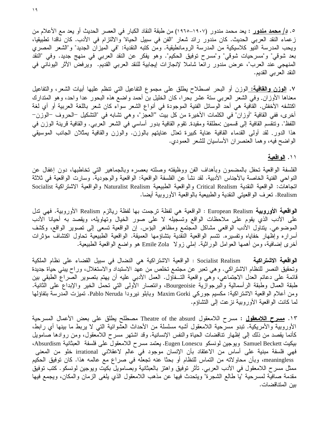$\lambda$ 

0. <mark>د/ محمد مندور</mark> : يعد محمد مندور (١٩٠٧–١٩٦٥) من طبقة النقاد الكبار في العصر الحديث أو يعد مع الأعلام من زعماء النقد العربي الحديث. كان مندور رائد شعار "الفن في سبيل الحياة" والالنزام في الأدب. كان ناقدا نطبيقيا، ويحب المدرسة النيو كلاسيكية من المدرسة الرومانطيقية. ومن كتبه النقدية: "في الميزان الجديد" و"الشعر المصري بعد شوقي" و"مسرحيات شوقي" و"مسرح توفيق الحكيم". وهو يفكر عن النقد العربي في منهج جديد. وفي "النقد المنهجي عند العرب"، عرض مندور رائعا شاملا لإنجازات إيجابية للنقد العربي القديم. ويرفض الأثر اليوناني في النقد العربي القديم.

٧. <u>الوزن والقافية: ا</u>لوزن أو البحر اصطلاح يطلق على مجموع التفاعيل التي نتظم عليها أبيات الشعر، والتفاعيل معناها الأوزان. وفي الشعر العربي ستة عشر بحرا، كان الخليل بن أحمد واضع هذه البحور عدا واحد، وهو المتدارك اكتشفه الأخفش. القافية هي أحد الوسائل الفنية الموجودة في أنواع الشعر سواء كان شعر باللغة العربية أو أي لغة أخرى، ففي القافية "أوزان" في الكلمات الأخيرة من كل بيت "العجز"، وهي تشابه في "التشكيل –الحروف –الوزن– اللفظ". وتنقسم القافية إلى قسمين :مطلقة ومقيدة. تقوم القافية بدور أساسي في الشعر العربي. والقافية قرينة الوزن في هذا الدور. لقد أولى القدماء القافية عناية كبيرة نعدّل عنايتهم بالوزن. والوزن والقافية يمثلان الجانب الموسيقى الواضح فيه، وهما العنصران الأساسيان للشعر العمودي.

## ۱۱. <u>الواقعية</u>

الفلسفة الواقعية تحفل بالمضمون وبأهداف الفن ووظيفته وصلته بعصره وبالجماهير التبي تخاطبها، دون إغفال عن النواحي الفنية الخاصة بالأجناس الأدبية. لقد نشأ عن الفلسفة الواقعية: الواقعية والوجودية. وسارت الواقعية في ثلاثة انجاهات: الواقعية النقدية Critical Realism والواقعية الطبيعية Naturalist Realism والواقعية الاشتراكية Socialist Realism. تعرف الواقعيتي النقدية والطبيعية بالواقعية الأوروبية أيضا.

الواقعية الأوروبية European Realism : الواقعية هي لفظة ترجمت بها لفظة ريالزم Realism الأوروبية. فهي تنل على الأدب الذي يقوم على ملاحظات الواقع وتسجيله لا على صور الخيال وتهاويله، ويقصد به أحيانا الأدب الموضوعي. يتناول الأدب الواقعي مشاكل المجتمع ومظاهر البؤس. إن الواقعية تسعى إلى تصوير الواقع، وكشف أسراره وإظهار خفاياه وتفسيره. تتسم الواقعية النقدية بتشاؤمها العميقة. الواقعية الطبيعية تحاول اكتشاف مؤثرات أخرى إضافية، ومن أهمها العوامل الوراثية. إملـي زولا Emile Zola هو واضـع الواقعية الطبيعية.

ا**لواقعية الاشتراكية Socialist Realism :** الواقعية الاشتراكية هي النضال في سبيل القضاء على نظام الملكية وتحقيق النصر للنظام الاشتراكي. وهي تعبر عن مجتمع تخلص من عهد الاستبداد والاستغلال، وراح يبني حياة جديدة قائمة على دعائم العدل الاجتماعي، وهي واقعية التـــفاؤل. العمل الأدبي عليه أن يهتم بتصوير الصراع الطبقي بين طبقة العمال وطبقة الرأسمالية والبرجوازية Bourgeoisie، وانتصار الأولى التي تحمل الخير والإبداع على الثانية. ومن أعلام الواقعية الاشتراكية: مكسيم جوركي Maxim Gorki وبابلو نيرودا Pablo Neruda. تميزت المدرسة بتفاؤلها لما كانت الواقعية الأوروبية نزعت إلىي التشاؤم.

١٣. <u>مسرح اللامعقول</u> : مسرح اللامعقول Theatre of the absurd مصطلح يطلق على بعض الأعمال المسرحية الأوروبية والأمريكية. تبدو مسرحية اللامعقول أشبه مسلسلة من الأحداث العشوائية التبي لا يربط ما بينها أي رابط، كأنما يقصد من ذلك إلى إظهار تناقضات الحياة والنفس الإنسانية. وقد اشتهر مسرح اللامعقول، ومن روادها صامويل بيكيت Samuel Beckett ويوجين لونسكو Eugen Lonescu. يعتمد مسرح اللامعقول على فلسفة العبثانية Absurdism، فهي فلسفة مبنية على أساس من الاعتقاد بأن الإنسان موجود في عالم لاعقلاني irrational خلو من المعنى meaningless، وبأن محاولاته من التماس للنظام أو بحثا عنه تجعله في صراع مع عالمه هذا. كان توفيق الحكيم ممثل مسرح اللامعقول فـي الأدب العربـي. تأثَّر توفيق واهتز بالعبثانية وبصـامويل بكيت ويوجين لونسكو. كتب توفيق مقدمة صافية لمسرحية "يا طالع الشجرة" ويتحدث فيها عن مذهب اللامعقول الذي يلغبي الزمان والمكان، ويجمع فيها بين المتناقضات.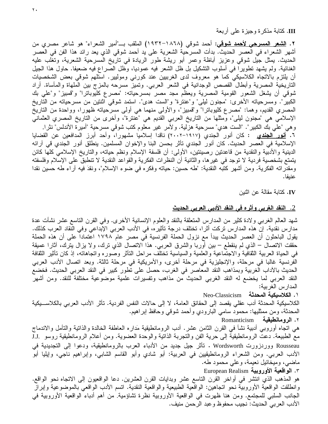III. كَتَابَةٌ مَذْكَرَةٌ وَجَيْزَةٌ عَلَى أَرْبِعَةٌ

٢. <u>ا**لشعر المسرحي لأحمد شوقي:** أح</u>مد شوقي (١٨٦٨–١٩٣٢) الملقب بـــ"أمير الشعراء" هو شاعر مصري من أشهر الشعراء في العصر الحديث. بدأت المسرحية الشعرية على يد أحمد شوقي الذي يعد رائد هذا الفن في العصر الحديث. يمثل جيل شوقي وعزيز أباظة وعمر أبو ريشة طور الريادة في تاريخ المسرحية الشعرية، ونغلب عليه الغنائية. ولم يشهد تطويرًا في أسلوب التشكيل بل ظل الشعر فيه عموديًا، وظل الصراع فيه ضعيفًا. حاول هذا الجيل أن يلتزم بالاتجاه الكلاسيكي كما هو معروف لدى الغربيين عند كورنبي وموليير . استلهم شوقي بعض الشخصيات التاريخية المصرية وأبطال القصص الوجدانية في الشعر العربي. وتميز مسرحه بالمزج بين الملهاة والمأساة. أراد شوقي أن يشغل الشعور القومية المصرية ويعظم مجد مصر بمسرحياته: "مصرع كليوباترا" و"قمبيز" و"علي بك الكبير". ومسرحياته الأخرى: "مجنون ليلي" و"عنترة" و"الست هدى". استمد شوقي اثنتين من مسرحياته من التاريخ المصري القديم، وهما: "مصرع كليوباترا" و"قمبيز"، والأولىي منهما هي أولىي مسرحياته ظهورا، وواحدة من التاريخ الإسلامي هي "مجنون ليلي"، ومثلها من التاريخ العربي القديم هي "عنترة"، وأخرى من التاريخ المصري العثماني وهي "علي بك الكبير". "الست هدي" مسرحية هزلية. ولأمر غير معلوم كتب شوقي مسرحية "أميرة الأندلس" نثرًا. ٦. <mark>أنور الجندي</mark> : كان أنور الجندي (١٩١٧–٢٠٠٢) ناقدا إسلاميا مشهورا، وأحد أبرز المدافعين عن القضايا الإسلامية في العصر الحديث. كان أنور الجندي تأثر بحسن البنا والإخوان المسلمين. ينطلق أنور الجندي قي آرائه الدينية والأدبية والنقدية من قاعدتين رصينتين، الأولى: أن فلسفة الإسلام ونظم حياته، والتاريخ الإسلامي كلها كائن يتمتع بشخصية فردية لا توجد في غيرها، والثانية أن النظرات الفكرية والقواعد النقدية لا تنطبق على الإسلام وفلسفته ومقدراته الفكرية. ومن أشهر كتبه النقدية: "طه حسين: حياته وفكره في ضوء الإسلام"، ونقدَ فيه أراء طه حسين نقدا عنيفا.

IV. كتابة مقالة عن اثنين

## <u>2. النقد الغربي وأثره في النقد الأدبي العربي الحديث</u>

شهد العالم الغربـي ولادة كثير من المدارس المتعلقة بالنقد والعلوم الإنسانية الأخرى. وفـي القرن الناسع عشر نشأت عدة مدارس نقدية. إن هذه المدارس تركت أثرا، تختلف درجة تأثيره، في الأدب العربي الإبداعي وفي النقاد العرب كذلك. يقول الباحثون أن العصر الحديث يبدأ مع نزول الحملة الفرنسية في مصر عام ١٧٩٨ اعتمادا على أن هذه الحملة حققت الاتصال – الذي لم ينقطع – بين أوربا والشرق العربي. هذا الاتصال الذي ترك، ولا يزال يترك، أثارا عميقة في الحياة العربية الثقافية والاجتماعية والعلمية والسياسية تختلف مراحل النائر وصوره واتجاهاته، إذ كان تأثير الثقافة الفرنسية غالبا في مرحلة، والإنجليزية في مرحلة أخرى، والأمريكية في مرحلة ثالثة. وبعد اتصال الأدب العربي الحديث بالأداب الغربية وبمذاهب النقد المعاصر في الغرب، حصل على تطور كبير في النقد العربي الحديث. فخضع النقد العربي لما يخضع له النقد الغربي الحديث من مذاهب وتفسيرات علمية موضوعية مختلفة للنقد. ومن أشهر المدار س الغر بية:

1. الكلاسيكية المحدثة Neo-Classicism

الكلاسيكية المحدثة أدب عقلي يقصد إلى الحقائق العامة، لا إلى حالات النفس الفردية. تأثر الأدب العربي بالكلاســـيكية المحدثة، ومن ممثليها: محمود سامي البارودي وأحمد شوقي وحافظ ابر اهيم. ٢. الرومانطيقية Romanticism

هي اتجاه أوروبـي أدبية نشأ فـي القرن الثامن عشر . أدب الرومانطيقية مَداره الـعاطفة الخالدة والذاتية والتأمل والاندماج مع الطبيعة. دعت الرومانطيقية إلى حرية الفن والتجربة الذاتية والوحدة العضوية. ومن أعلام الرومانطيقية روسو I.J Rousseau ووردزورت Wordsworth . تأثَّر جيل جديد من الأدباء العرب بالرومانطيقية، ودعوا إلى التجديدية في الأدب العربي. ومن الشعراء الرومانطيقيين في العربية: أبو شادي وأبو القاسم الشابي، وإبراهيم ناجي، وإيليا أبو ماضبي، وميخائيل نعيمة، وعلمي محمود طه.

٣. الواقعية الأوروبية European Realism

هو المذهب الذي انتشر في أواخر القرن الناسع عشر وبدايات القرن العشرين. دعا الواقعيون إلىي الاتجاه نحو الواقع. وانطلقت الواقعية الأوروبية نحو اتجاهين: الواقعية الطبيعية والواقعية النقدية. اتسم الأدب الواقعي بالموضوعية وإبراز الجانب السلبي للمجتمع. ومن هنا ظهرت في الواقعية الأوروبية نظرة تشاؤمية. من أهم أدباء الواقعية الأوروبية في الأدب العربي الحديث: نجيب محفوظ وعبد الرحمن منيف.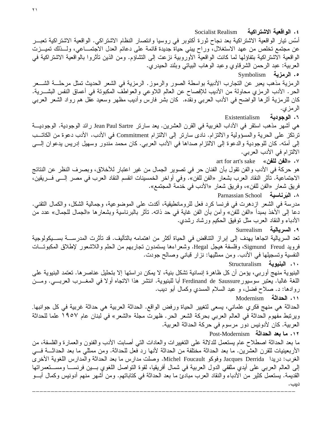Socialist Realism ٤. الوافعية الاشتر اكية أسّس نيار الواقعية الاشتراكية بعد نجاح ثورة أكتوبر في روسيا وانتصار النظام الاشتراكي. الواقعية الاشتراكية تعبـــر عن مجتمع تخلص من عهد الاستغلال، وراح ببني حياة جديدة قائمة على دعائم العدل الاجتمـــاعي، ولـــذلك تميـــزت الواقعية الاشتراكية بتفاؤلها لما كانت الواقعية الأوروبية نزعت إلى التشاؤم. ومن الذين تأثروا بالواقعية الاشتراكية في العربية: عبد الرحمن الشرقاوي وعبد الوهاب البياتـي وبلند الحيدري. ه. الرمزية Symbolism الرمزية مذهب يعبر عن النجارب الأدبية بواسطة الصور والرموز. الرمزية في الشعر الحديث تمثل مرحلـــة الشـــعر الحر . الأدب الرمزي محاولة من الأديب للإفصاح عن العالم اللاوعي والعواطف المكبونة في أعماق النفس البشـــرية. كان للرمزية أثرها الواضح في الأدب العربي ونقده. كان بشر فارس وأديب مظهر وسعيد عقل هم رواد الشعر العربي الرمزي. ٦. الوجودية Existentialism هي أشهر مذهب استقر في الأداب الغربية في القرن العشرين. يعد سارتر Jean Paul Sartre رائد الوجودية. الوجوديت ترتكز على الحرية والمسؤولية والالتزام. نادي سارتر إلى الالتزام Commitment في الأدب. الأدب دعوة من الكاتـــب إلى أمته. كان للوجودية والدعوة إلى الالتزام صداها في الأدب العربي. كان محمد مندور وسهيل إدريس يدعوان إلـــي الالتزام في الأدب العربي. art for art's sake «الفن للفن» هو حركة في الأدب والفن نقول بأن الفنان حر في تصوير الجمال من غير اعتبار للأخلاق، وبصرف النظر عن النتائج الاجتماعية. تأثَّر النقاد العرب بشعار «الفن للفن». وفي أواخر الخمسينات انقسم النقاد العرب في مصر إلـــي فـــريقين، فريق شعار «الفن للفن»، وفريق شعار «الأدب في خدمة المجتمع». ٨. البَرِناسية Parnassian School مدر سة في الشعر -از دهر ت في فر نسا كر د فعل للر و مانطيقية، أكدت على المو ضو عية، و جمالية الشكل، و الكمال التقني. دعا إلى الأخذ بمبدأ «الفن للفن» وآمن بأن الفن غاية في حد ذاته. تأثر بالبرناسية وبشعارها «الجمال للجمال» عدد من الأدباء والنقاد العرب مثل نوفيق الحكيم ورشاد رشدى. ٩. السريالية Surrealism تعد السريالية اتجاها يهدف إلى إبراز التناقض في الحياة أكثر من اهتمامه بالتأليف. قد تأثرت المدرســــة بســـيكولوجية فرويد Sigmund Freud، وفلسفة هيجل Hegal. وشعراءها يستمدون تجاربهم من الحلم واللاشعور لإطلاق المكبوتـــات النفسية وتسجيلها في الأدب. ومن ممثليها: نزار قبانـي وصـالـح جودت. .١٠ البنيوية Structuralism البنيوية منهج أوربي، يؤمن أن كل ظاهرة إنسانية تشكل بنية، لا يمكن در استها إلا بتحليل عناصر ها. تعتمد البنيوية على اللغة غالبا. يعتبر سوسيور Ferdinand de Saussure أبا للبنيوية. انتشر هذا الانجاه أولا في المغـــرب العربــــي. ومـــن روادها: د. صلاح فضل، و عبد السلام المسدى وكمال أبو ديب. ١١. الحداثة Modernism الحداثة هي منهج فكري علماني، يسعى لتغيير الحياة ورفض الواقع. الحداثة العربية هي حداثة غربية في كل جوانبها. ويرتبط مفهوم الحداثة في العالم العربي بحركة الشعر الحر . ظهرت مجلة «الشعر» في لبنان عام ١٩٥٧ علما للحداثة العربية. كان لأدونيس دور مرسوم في حركة الحداثة العربية. ١٢. ما بعد الحداثة Post-Modernism ما بعد الحداثة اصطلاح عام يستعمل للدلالة على التغييرات والعادات التبي أصابت الأدب والفنون والعمارة والفلسفة، من الأربعينيات للقرن العشرين. ما بعد الحداثة مختلفة من الحداثة لأنها رد فعل للحداثة. ومن ممثلي ما بعد الحداثـــة فـــي الغرب: دريدا Jacques Derrida وفوكو Michel Foucault. وصلت مدارس ما بعد الحداثة والمدارس اللغوية الأخرى إلى العالم العربـي علـي أيدي مثقفي الدول العربية فـي شمال أفريقيا، لقوة التواصل اللغوي بـــين فرنســـا ومســـنعمراتها القديمة. يستعمل كثير من الأدباء والنقاد العرب مبادئ ما بعد الحداثة في كتاباتهم. ومن أشهر منهم أدونيس وكمال أبـــو

دبب.

 $\mathbf{y}$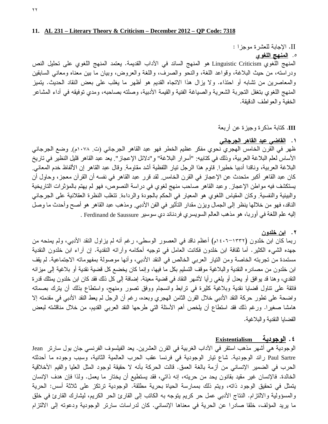#### 11. AL 231 – Literary Theory & Criticism – December 2012 – QP Code: 7318

II. الإجابة للعشرة موجزا : 0. ا<u>لمنهج اللغوي</u> المنهج اللغوي Linguistic Criticism هو المنهج السائد في الأداب القديمة. يعتمد المنهج اللغوي على نحليل النص ودراسته، من حيث البلاغة، وقواعد اللغة، والنحو والصرف، واللغة والعروض، وبيان ما بين معناه ومعانـي السابقين والمعاصرين من نشابه أو احتذاء. ولا يزال هذا الانجاه القديم هو أظهر ما يغلب على بعض النقاد الحديث. يتميز المنهج اللغوي بتغفل التجربة الشعرية والصياغة الفنية والقيمة الأدبية، وصلته بصاحبه، ومدي توفيقه في أداء المشاعر الخفية والعواطف الدقيقة.

III. كَتَابة مَذْكَرة وجيزة عن أربعة

## ٠١. القاضي عبد القاهر الجرجاني

ظهر في الَّقرن الخامس الهجري َّنحوي مفكر عظيم الخطر فهو عبد القاهر الجرجاني (ت. ١٠٧٨م). وضع الجرجاني الأساس لعلم البلاغة العربية، وذلك في كتابيه: "أسرار البلاغة" و"دلائل الإعجاز". يعد عبد القاهر قليل النظير في تاريخ البلاغة العربية، وناقدا أدبيا خطيرًا. قاوم هذا الرجل تيار اللفظية أشد مقاومة. وقال عبد القاهر إن الألفاظ خدم المعاني. كان عبد القاهر أكبر متحدث عن الإعجاز في القرن الخامس. لقد قرر عبد القاهر في نفسه أن القرآن معجز ، وحاول أن يستكشف فيه مواطن الإعجاز ٍ وعبد القاهر صاحب منهج لغوي في دراسة النصوص، فهو لم يهتم بالمؤثرات التاريخية والبيئية والنفسية. وكان المقياس اللغوي هو المعيار في الحكم بالجودة والرداءة. تتغلب النظرة العقلانية على الجرجاني الناقد، فهو من خلالها ينظر إلى الجمال ويزن مقدار التأثير في الفن الأدبي ومذهب عبد القاهر هو أصح وأحدث ما وصل إليه علم اللغة في أوربا، هو مذهب العالم السويسري فردناند دي سوسير Ferdinand de Saussure .

#### ۲. این خلدون

ربما كان ابن خلدون (١٣٣٢–١٤٠٦م) أعظم ناقد في العصور الوسطى، رغم أنه لم يزاول النقد الأدبي، ولم يمنحه من جهده الشيء الكثير. أما ثقافة ابن خلدون فكانت العامل في توجيه أحكامه وأرائه النقدية. إن أراء ابن خلدون النقدية مستمدة من تجربته الخاصة ومن النيار العربي الخالص في النقد الأدبي، وأنها موصولة بمفهوماته الاجتماعية. لم يقف ابن خلدون من مصـادره النقدية والبلاغية موقف التسليم بكل ما فيها، وإنما كان يخضـع كل قضية نقدية أو بلاغية إلى ميزانه النقدي، وهنا قد يوافق أو يعدل أو يلغي رأيا لأشهر النقاد في قضية معينة. إضافة إلى كل ذلك فقد كان ابن خلدون يمثلك قدرة فائقة على نتاول قضايا نقدية وبلاغية كثيرة في نرابط وانسجام ووفق نصور ومنهج، واستطاع بذلك أن يترك بصماته واضحة على نطور حركة النقد الأدبي خلال القرن الثامن الهجري وبعده، رغم أن الرجل لم يعط النقد الأدبي في مقدمته إلا هامشا صغيرًا. ورغم ذلك فقد استطاع أن يلخص أهم الأسئلة التي طرحها النقد العربـي القديم، من خلال مناقشته لبعض القضابا النقدبة والبلاغبة.

## ٤. الوجودية Existentialism

الوجودية هي أشهر مذهب استقر في الأداب الغربية في القرن العشرين. يعد الفيلسوف الفرنسي جان بول سارتر Jean Paul Sartre رائد الوجودية. شاع نيار الوجودية في فرنسا عقب الحرب العالمية الثانية، وسبب وجوده ما أحدثته الحرب في الضمير الإنساني من أزمة بالغة العمق. قالت الحركة بأنه لا حقيقة لوجود المثل العليا والقيم الأخلاقية الخالدة. فالإنسان غير مقيد بقانون يحد من حريته، إنه ذاتبي، فقد يستطيع أن يختار ما يعمل. ولذا فإن هدف الإنسان يتمثَّل في تحقيق الوجود ذاته، ويتم ذلك بممارسة الحياة بحرية مطلقة. الوجودية ترتكز على ثلاثة أسس: الحرية والمسؤولية والالتزام. النتاج الأدببي عمل حر كريم يتوجه به الكاتب إلى القارئ الحر الكريم، ليشارك القارئ في خلق ما يريد المؤلف، خلقا صادرا عن الحرية في معناها الإنساني. كان لدراسات سارتر الوجودية ودعوته إلى الالتزام